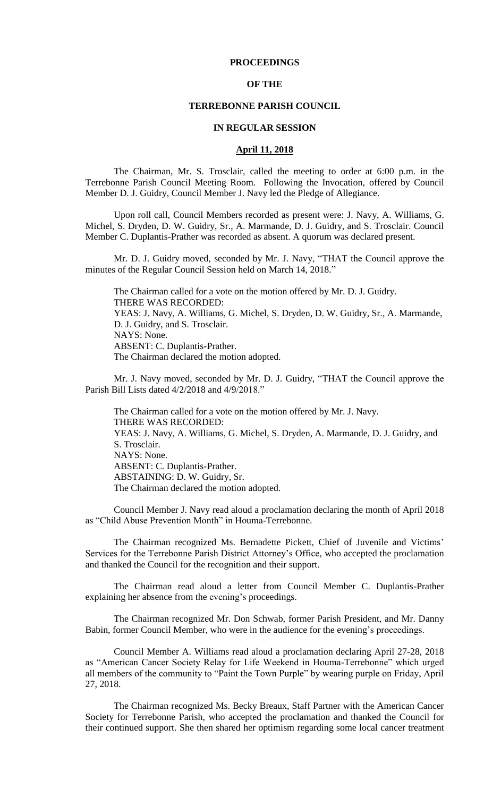## **PROCEEDINGS**

## **OF THE**

#### **TERREBONNE PARISH COUNCIL**

### **IN REGULAR SESSION**

## **April 11, 2018**

The Chairman, Mr. S. Trosclair, called the meeting to order at 6:00 p.m. in the Terrebonne Parish Council Meeting Room. Following the Invocation, offered by Council Member D. J. Guidry, Council Member J. Navy led the Pledge of Allegiance.

Upon roll call, Council Members recorded as present were: J. Navy, A. Williams, G. Michel, S. Dryden, D. W. Guidry, Sr., A. Marmande, D. J. Guidry, and S. Trosclair. Council Member C. Duplantis-Prather was recorded as absent. A quorum was declared present.

Mr. D. J. Guidry moved, seconded by Mr. J. Navy, "THAT the Council approve the minutes of the Regular Council Session held on March 14, 2018."

The Chairman called for a vote on the motion offered by Mr. D. J. Guidry. THERE WAS RECORDED: YEAS: J. Navy, A. Williams, G. Michel, S. Dryden, D. W. Guidry, Sr., A. Marmande, D. J. Guidry, and S. Trosclair. NAYS: None. ABSENT: C. Duplantis-Prather. The Chairman declared the motion adopted.

Mr. J. Navy moved, seconded by Mr. D. J. Guidry, "THAT the Council approve the Parish Bill Lists dated 4/2/2018 and 4/9/2018."

The Chairman called for a vote on the motion offered by Mr. J. Navy. THERE WAS RECORDED: YEAS: J. Navy, A. Williams, G. Michel, S. Dryden, A. Marmande, D. J. Guidry, and S. Trosclair. NAYS: None. ABSENT: C. Duplantis-Prather. ABSTAINING: D. W. Guidry, Sr. The Chairman declared the motion adopted.

Council Member J. Navy read aloud a proclamation declaring the month of April 2018 as "Child Abuse Prevention Month" in Houma-Terrebonne.

The Chairman recognized Ms. Bernadette Pickett, Chief of Juvenile and Victims' Services for the Terrebonne Parish District Attorney's Office, who accepted the proclamation and thanked the Council for the recognition and their support.

The Chairman read aloud a letter from Council Member C. Duplantis-Prather explaining her absence from the evening's proceedings.

The Chairman recognized Mr. Don Schwab, former Parish President, and Mr. Danny Babin, former Council Member, who were in the audience for the evening's proceedings.

Council Member A. Williams read aloud a proclamation declaring April 27-28, 2018 as "American Cancer Society Relay for Life Weekend in Houma-Terrebonne" which urged all members of the community to "Paint the Town Purple" by wearing purple on Friday, April 27, 2018.

The Chairman recognized Ms. Becky Breaux, Staff Partner with the American Cancer Society for Terrebonne Parish, who accepted the proclamation and thanked the Council for their continued support. She then shared her optimism regarding some local cancer treatment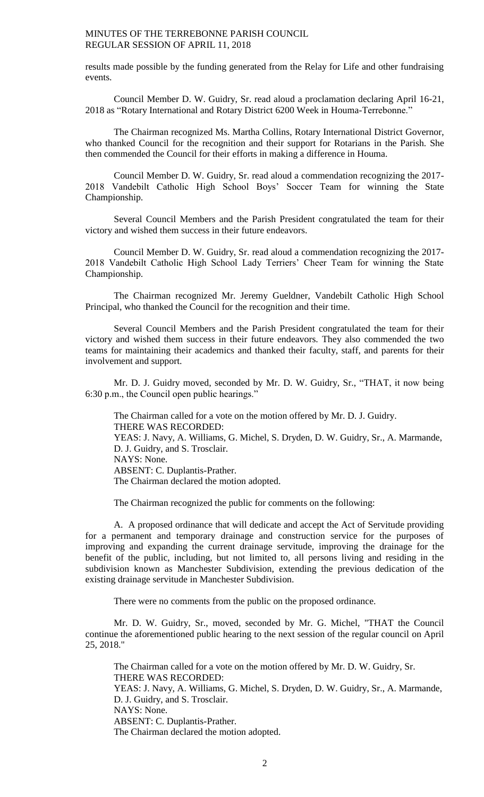results made possible by the funding generated from the Relay for Life and other fundraising events.

Council Member D. W. Guidry, Sr. read aloud a proclamation declaring April 16-21, 2018 as "Rotary International and Rotary District 6200 Week in Houma-Terrebonne."

The Chairman recognized Ms. Martha Collins, Rotary International District Governor, who thanked Council for the recognition and their support for Rotarians in the Parish. She then commended the Council for their efforts in making a difference in Houma.

Council Member D. W. Guidry, Sr. read aloud a commendation recognizing the 2017- 2018 Vandebilt Catholic High School Boys' Soccer Team for winning the State Championship.

Several Council Members and the Parish President congratulated the team for their victory and wished them success in their future endeavors.

Council Member D. W. Guidry, Sr. read aloud a commendation recognizing the 2017- 2018 Vandebilt Catholic High School Lady Terriers' Cheer Team for winning the State Championship.

The Chairman recognized Mr. Jeremy Gueldner, Vandebilt Catholic High School Principal, who thanked the Council for the recognition and their time.

Several Council Members and the Parish President congratulated the team for their victory and wished them success in their future endeavors. They also commended the two teams for maintaining their academics and thanked their faculty, staff, and parents for their involvement and support.

Mr. D. J. Guidry moved, seconded by Mr. D. W. Guidry, Sr., "THAT, it now being 6:30 p.m., the Council open public hearings."

The Chairman called for a vote on the motion offered by Mr. D. J. Guidry. THERE WAS RECORDED: YEAS: J. Navy, A. Williams, G. Michel, S. Dryden, D. W. Guidry, Sr., A. Marmande, D. J. Guidry, and S. Trosclair. NAYS: None. ABSENT: C. Duplantis-Prather. The Chairman declared the motion adopted.

The Chairman recognized the public for comments on the following:

A. A proposed ordinance that will dedicate and accept the Act of Servitude providing for a permanent and temporary drainage and construction service for the purposes of improving and expanding the current drainage servitude, improving the drainage for the benefit of the public, including, but not limited to, all persons living and residing in the subdivision known as Manchester Subdivision, extending the previous dedication of the existing drainage servitude in Manchester Subdivision.

There were no comments from the public on the proposed ordinance.

Mr. D. W. Guidry, Sr., moved, seconded by Mr. G. Michel, "THAT the Council continue the aforementioned public hearing to the next session of the regular council on April 25, 2018."

The Chairman called for a vote on the motion offered by Mr. D. W. Guidry, Sr. THERE WAS RECORDED: YEAS: J. Navy, A. Williams, G. Michel, S. Dryden, D. W. Guidry, Sr., A. Marmande, D. J. Guidry, and S. Trosclair. NAYS: None. ABSENT: C. Duplantis-Prather. The Chairman declared the motion adopted.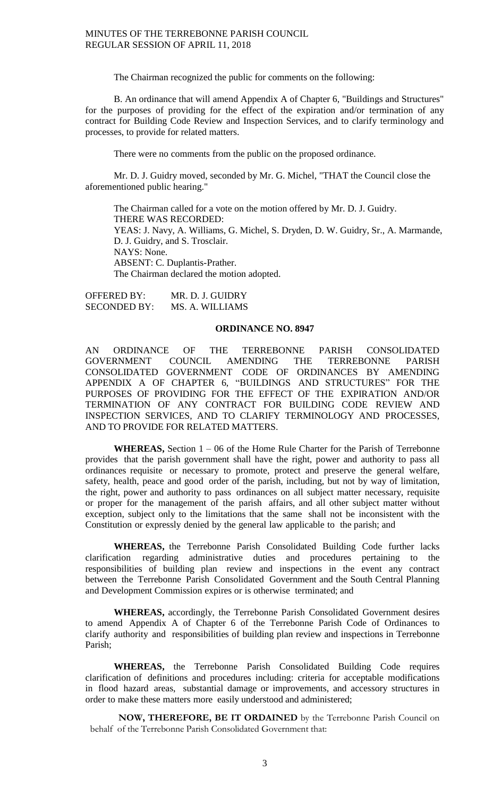The Chairman recognized the public for comments on the following:

B. An ordinance that will amend Appendix A of Chapter 6, "Buildings and Structures" for the purposes of providing for the effect of the expiration and/or termination of any contract for Building Code Review and Inspection Services, and to clarify terminology and processes, to provide for related matters.

There were no comments from the public on the proposed ordinance.

Mr. D. J. Guidry moved, seconded by Mr. G. Michel, "THAT the Council close the aforementioned public hearing."

The Chairman called for a vote on the motion offered by Mr. D. J. Guidry. THERE WAS RECORDED: YEAS: J. Navy, A. Williams, G. Michel, S. Dryden, D. W. Guidry, Sr., A. Marmande, D. J. Guidry, and S. Trosclair. NAYS: None. ABSENT: C. Duplantis-Prather. The Chairman declared the motion adopted.

OFFERED BY: MR. D. J. GUIDRY SECONDED BY: MS. A. WILLIAMS

### **ORDINANCE NO. 8947**

AN ORDINANCE OF THE TERREBONNE PARISH CONSOLIDATED GOVERNMENT COUNCIL AMENDING THE TERREBONNE PARISH GOVERNMENT COUNCIL AMENDING THE TERREBONNE PARISH CONSOLIDATED GOVERNMENT CODE OF ORDINANCES BY AMENDING APPENDIX A OF CHAPTER 6, "BUILDINGS AND STRUCTURES" FOR THE PURPOSES OF PROVIDING FOR THE EFFECT OF THE EXPIRATION AND/OR TERMINATION OF ANY CONTRACT FOR BUILDING CODE REVIEW AND INSPECTION SERVICES, AND TO CLARIFY TERMINOLOGY AND PROCESSES, AND TO PROVIDE FOR RELATED MATTERS.

**WHEREAS,** Section 1 – 06 of the Home Rule Charter for the Parish of Terrebonne provides that the parish government shall have the right, power and authority to pass all ordinances requisite or necessary to promote, protect and preserve the general welfare, safety, health, peace and good order of the parish, including, but not by way of limitation, the right, power and authority to pass ordinances on all subject matter necessary, requisite or proper for the management of the parish affairs, and all other subject matter without exception, subject only to the limitations that the same shall not be inconsistent with the Constitution or expressly denied by the general law applicable to the parish; and

**WHEREAS,** the Terrebonne Parish Consolidated Building Code further lacks clarification regarding administrative duties and procedures pertaining to the responsibilities of building plan review and inspections in the event any contract between the Terrebonne Parish Consolidated Government and the South Central Planning and Development Commission expires or is otherwise terminated; and

**WHEREAS,** accordingly, the Terrebonne Parish Consolidated Government desires to amend Appendix A of Chapter 6 of the Terrebonne Parish Code of Ordinances to clarify authority and responsibilities of building plan review and inspections in Terrebonne Parish;

**WHEREAS,** the Terrebonne Parish Consolidated Building Code requires clarification of definitions and procedures including: criteria for acceptable modifications in flood hazard areas, substantial damage or improvements, and accessory structures in order to make these matters more easily understood and administered;

**NOW, THEREFORE, BE IT ORDAINED** by the Terrebonne Parish Council on behalf of the Terrebonne Parish Consolidated Government that: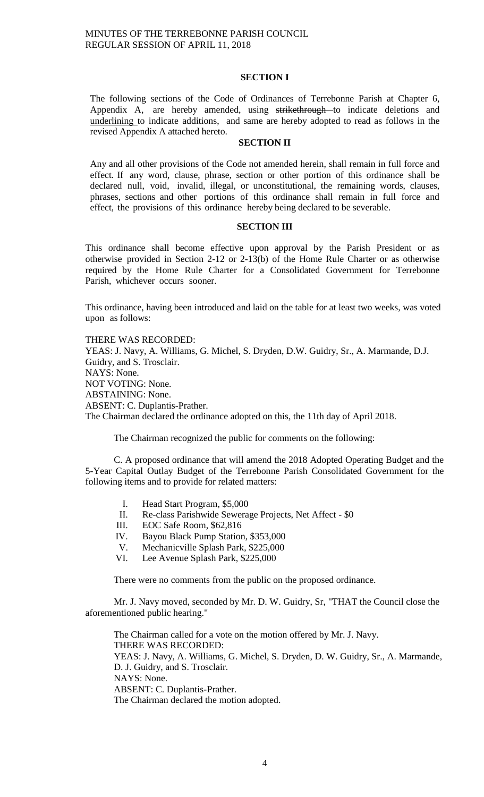## **SECTION I**

The following sections of the Code of Ordinances of Terrebonne Parish at Chapter 6, Appendix A, are hereby amended, using strikethrough to indicate deletions and underlining to indicate additions, and same are hereby adopted to read as follows in the revised Appendix A attached hereto.

## **SECTION II**

Any and all other provisions of the Code not amended herein, shall remain in full force and effect. If any word, clause, phrase, section or other portion of this ordinance shall be declared null, void, invalid, illegal, or unconstitutional, the remaining words, clauses, phrases, sections and other portions of this ordinance shall remain in full force and effect, the provisions of this ordinance hereby being declared to be severable.

## **SECTION III**

This ordinance shall become effective upon approval by the Parish President or as otherwise provided in Section 2-12 or 2-13(b) of the Home Rule Charter or as otherwise required by the Home Rule Charter for a Consolidated Government for Terrebonne Parish, whichever occurs sooner.

This ordinance, having been introduced and laid on the table for at least two weeks, was voted upon as follows:

THERE WAS RECORDED: YEAS: J. Navy, A. Williams, G. Michel, S. Dryden, D.W. Guidry, Sr., A. Marmande, D.J. Guidry, and S. Trosclair. NAYS: None. NOT VOTING: None. ABSTAINING: None. ABSENT: C. Duplantis-Prather. The Chairman declared the ordinance adopted on this, the 11th day of April 2018.

The Chairman recognized the public for comments on the following:

C. A proposed ordinance that will amend the 2018 Adopted Operating Budget and the 5-Year Capital Outlay Budget of the Terrebonne Parish Consolidated Government for the following items and to provide for related matters:

- I. Head Start Program, \$5,000
- II. Re-class Parishwide Sewerage Projects, Net Affect \$0
- III. EOC Safe Room, \$62,816
- IV. Bayou Black Pump Station, \$353,000
- V. Mechanicville Splash Park, \$225,000
- VI. Lee Avenue Splash Park, \$225,000

There were no comments from the public on the proposed ordinance.

Mr. J. Navy moved, seconded by Mr. D. W. Guidry, Sr, "THAT the Council close the aforementioned public hearing."

The Chairman called for a vote on the motion offered by Mr. J. Navy. THERE WAS RECORDED: YEAS: J. Navy, A. Williams, G. Michel, S. Dryden, D. W. Guidry, Sr., A. Marmande, D. J. Guidry, and S. Trosclair. NAYS: None. ABSENT: C. Duplantis-Prather. The Chairman declared the motion adopted.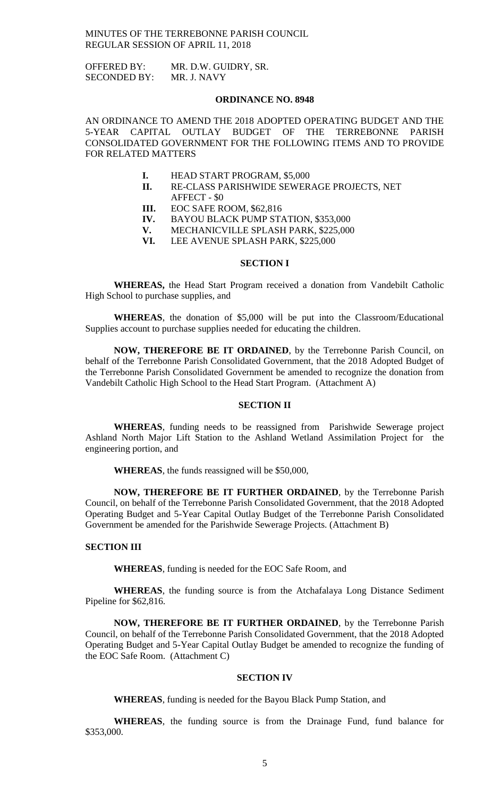| <b>OFFERED BY:</b>  | MR. D.W. GUIDRY, SR. |
|---------------------|----------------------|
| <b>SECONDED BY:</b> | MR. J. NAVY          |

### **ORDINANCE NO. 8948**

AN ORDINANCE TO AMEND THE 2018 ADOPTED OPERATING BUDGET AND THE 5-YEAR CAPITAL OUTLAY BUDGET OF THE TERREBONNE PARISH CONSOLIDATED GOVERNMENT FOR THE FOLLOWING ITEMS AND TO PROVIDE FOR RELATED MATTERS

- **I.** HEAD START PROGRAM, \$5,000
- **II.** RE-CLASS PARISHWIDE SEWERAGE PROJECTS, NET AFFECT - \$0
- **III.** EOC SAFE ROOM, \$62,816
- **IV.** BAYOU BLACK PUMP STATION, \$353,000
- **V.** MECHANICVILLE SPLASH PARK, \$225,000
- **VI.** LEE AVENUE SPLASH PARK, \$225,000

## **SECTION I**

**WHEREAS,** the Head Start Program received a donation from Vandebilt Catholic High School to purchase supplies, and

**WHEREAS**, the donation of \$5,000 will be put into the Classroom/Educational Supplies account to purchase supplies needed for educating the children.

**NOW, THEREFORE BE IT ORDAINED**, by the Terrebonne Parish Council, on behalf of the Terrebonne Parish Consolidated Government, that the 2018 Adopted Budget of the Terrebonne Parish Consolidated Government be amended to recognize the donation from Vandebilt Catholic High School to the Head Start Program. (Attachment A)

### **SECTION II**

**WHEREAS**, funding needs to be reassigned from Parishwide Sewerage project Ashland North Major Lift Station to the Ashland Wetland Assimilation Project for the engineering portion, and

**WHEREAS**, the funds reassigned will be \$50,000,

**NOW, THEREFORE BE IT FURTHER ORDAINED**, by the Terrebonne Parish Council, on behalf of the Terrebonne Parish Consolidated Government, that the 2018 Adopted Operating Budget and 5-Year Capital Outlay Budget of the Terrebonne Parish Consolidated Government be amended for the Parishwide Sewerage Projects. (Attachment B)

#### **SECTION III**

**WHEREAS**, funding is needed for the EOC Safe Room, and

**WHEREAS**, the funding source is from the Atchafalaya Long Distance Sediment Pipeline for \$62,816.

**NOW, THEREFORE BE IT FURTHER ORDAINED**, by the Terrebonne Parish Council, on behalf of the Terrebonne Parish Consolidated Government, that the 2018 Adopted Operating Budget and 5-Year Capital Outlay Budget be amended to recognize the funding of the EOC Safe Room. (Attachment C)

### **SECTION IV**

**WHEREAS**, funding is needed for the Bayou Black Pump Station, and

**WHEREAS**, the funding source is from the Drainage Fund, fund balance for \$353,000.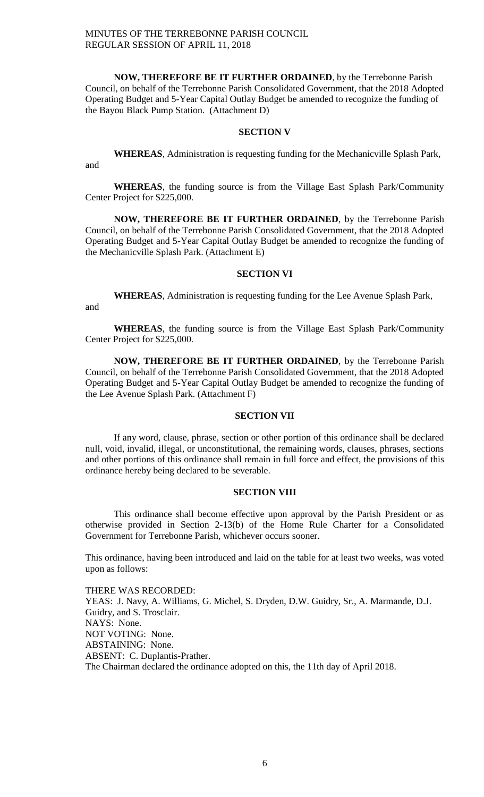**NOW, THEREFORE BE IT FURTHER ORDAINED**, by the Terrebonne Parish Council, on behalf of the Terrebonne Parish Consolidated Government, that the 2018 Adopted Operating Budget and 5-Year Capital Outlay Budget be amended to recognize the funding of the Bayou Black Pump Station. (Attachment D)

## **SECTION V**

**WHEREAS**, Administration is requesting funding for the Mechanicville Splash Park, and

**WHEREAS**, the funding source is from the Village East Splash Park/Community Center Project for \$225,000.

**NOW, THEREFORE BE IT FURTHER ORDAINED**, by the Terrebonne Parish Council, on behalf of the Terrebonne Parish Consolidated Government, that the 2018 Adopted Operating Budget and 5-Year Capital Outlay Budget be amended to recognize the funding of the Mechanicville Splash Park. (Attachment E)

### **SECTION VI**

**WHEREAS**, Administration is requesting funding for the Lee Avenue Splash Park, and

**WHEREAS**, the funding source is from the Village East Splash Park/Community Center Project for \$225,000.

**NOW, THEREFORE BE IT FURTHER ORDAINED**, by the Terrebonne Parish Council, on behalf of the Terrebonne Parish Consolidated Government, that the 2018 Adopted Operating Budget and 5-Year Capital Outlay Budget be amended to recognize the funding of the Lee Avenue Splash Park. (Attachment F)

## **SECTION VII**

If any word, clause, phrase, section or other portion of this ordinance shall be declared null, void, invalid, illegal, or unconstitutional, the remaining words, clauses, phrases, sections and other portions of this ordinance shall remain in full force and effect, the provisions of this ordinance hereby being declared to be severable.

# **SECTION VIII**

This ordinance shall become effective upon approval by the Parish President or as otherwise provided in Section 2-13(b) of the Home Rule Charter for a Consolidated Government for Terrebonne Parish, whichever occurs sooner.

This ordinance, having been introduced and laid on the table for at least two weeks, was voted upon as follows:

THERE WAS RECORDED: YEAS: J. Navy, A. Williams, G. Michel, S. Dryden, D.W. Guidry, Sr., A. Marmande, D.J. Guidry, and S. Trosclair. NAYS: None. NOT VOTING: None. ABSTAINING: None. ABSENT: C. Duplantis-Prather. The Chairman declared the ordinance adopted on this, the 11th day of April 2018.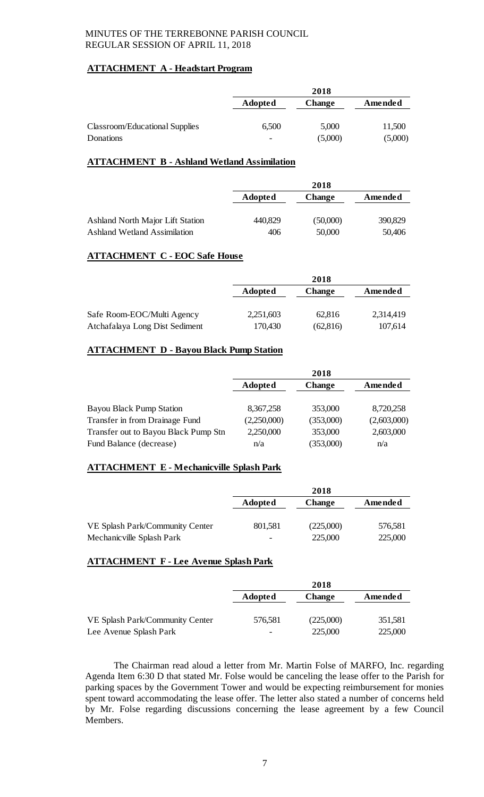# **ATTACHMENT A - Headstart Program**

|                                | 2018                     |               |         |
|--------------------------------|--------------------------|---------------|---------|
|                                | Adopted                  | <b>Change</b> | Amended |
|                                |                          |               |         |
| Classroom/Educational Supplies | 6,500                    | 5,000         | 11,500  |
| Donations                      | $\overline{\phantom{a}}$ | (5,000)       | (5,000) |

# **ATTACHMENT B - Ashland Wetland Assimilation**

|                                     | 2018           |               |         |
|-------------------------------------|----------------|---------------|---------|
|                                     | <b>Adopted</b> | <b>Change</b> | Amended |
|                                     |                |               |         |
| Ashland North Major Lift Station    | 440,829        | (50,000)      | 390,829 |
| <b>Ashland Wetland Assimilation</b> | 406            | 50,000        | 50,406  |

# **ATTACHMENT C - EOC Safe House**

|                                | 2018      |               |           |
|--------------------------------|-----------|---------------|-----------|
|                                | Adopted   | <b>Change</b> | Amended   |
|                                |           |               |           |
| Safe Room-EOC/Multi Agency     | 2,251,603 | 62,816        | 2,314,419 |
| Atchafalaya Long Dist Sediment | 170,430   | (62, 816)     | 107,614   |

# **ATTACHMENT D - Bayou Black Pump Station**

|                                      | 2018        |               |             |
|--------------------------------------|-------------|---------------|-------------|
|                                      | Adopted     | <b>Change</b> | Amended     |
| Bayou Black Pump Station             | 8,367,258   | 353,000       | 8,720,258   |
| Transfer in from Drainage Fund       | (2,250,000) | (353,000)     | (2,603,000) |
| Transfer out to Bayou Black Pump Stn | 2,250,000   | 353,000       | 2,603,000   |
| Fund Balance (decrease)              | n/a         | (353,000)     | n/a         |

# **ATTACHMENT E - Mechanicville Splash Park**

|                                 | 2018                     |               |         |
|---------------------------------|--------------------------|---------------|---------|
|                                 | <b>Adopted</b>           | <b>Change</b> | Amended |
|                                 |                          |               |         |
| VE Splash Park/Community Center | 801,581                  | (225,000)     | 576,581 |
| Mechanic ville Splash Park      | $\overline{\phantom{0}}$ | 225,000       | 225,000 |

# **ATTACHMENT F - Lee Avenue Splash Park**

|                                 |                | 2018          |         |
|---------------------------------|----------------|---------------|---------|
|                                 | <b>Adopted</b> | <b>Change</b> | Amended |
|                                 |                |               |         |
| VE Splash Park/Community Center | 576,581        | (225,000)     | 351,581 |
| Lee Avenue Splash Park          | -              | 225,000       | 225,000 |

The Chairman read aloud a letter from Mr. Martin Folse of MARFO, Inc. regarding Agenda Item 6:30 D that stated Mr. Folse would be canceling the lease offer to the Parish for parking spaces by the Government Tower and would be expecting reimbursement for monies spent toward accommodating the lease offer. The letter also stated a number of concerns held by Mr. Folse regarding discussions concerning the lease agreement by a few Council Members.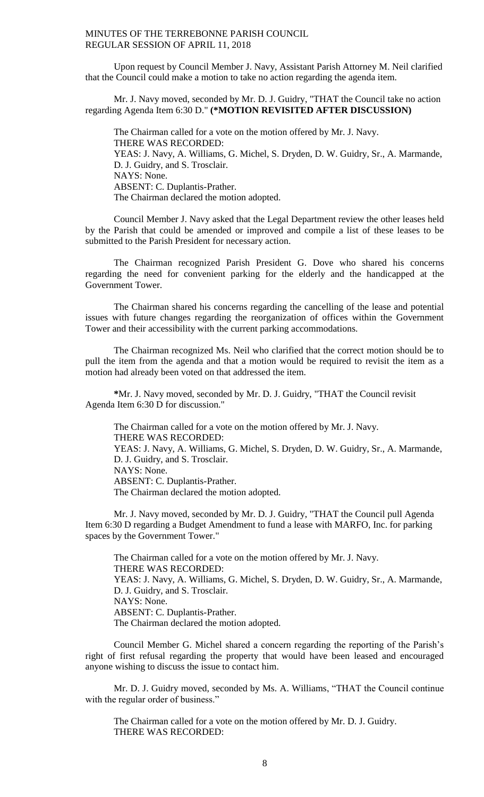Upon request by Council Member J. Navy, Assistant Parish Attorney M. Neil clarified that the Council could make a motion to take no action regarding the agenda item.

Mr. J. Navy moved, seconded by Mr. D. J. Guidry, "THAT the Council take no action regarding Agenda Item 6:30 D." **(\*MOTION REVISITED AFTER DISCUSSION)**

The Chairman called for a vote on the motion offered by Mr. J. Navy. THERE WAS RECORDED: YEAS: J. Navy, A. Williams, G. Michel, S. Dryden, D. W. Guidry, Sr., A. Marmande, D. J. Guidry, and S. Trosclair. NAYS: None. ABSENT: C. Duplantis-Prather. The Chairman declared the motion adopted.

Council Member J. Navy asked that the Legal Department review the other leases held by the Parish that could be amended or improved and compile a list of these leases to be submitted to the Parish President for necessary action.

The Chairman recognized Parish President G. Dove who shared his concerns regarding the need for convenient parking for the elderly and the handicapped at the Government Tower.

The Chairman shared his concerns regarding the cancelling of the lease and potential issues with future changes regarding the reorganization of offices within the Government Tower and their accessibility with the current parking accommodations.

The Chairman recognized Ms. Neil who clarified that the correct motion should be to pull the item from the agenda and that a motion would be required to revisit the item as a motion had already been voted on that addressed the item.

**\***Mr. J. Navy moved, seconded by Mr. D. J. Guidry, "THAT the Council revisit Agenda Item 6:30 D for discussion."

The Chairman called for a vote on the motion offered by Mr. J. Navy. THERE WAS RECORDED: YEAS: J. Navy, A. Williams, G. Michel, S. Dryden, D. W. Guidry, Sr., A. Marmande, D. J. Guidry, and S. Trosclair. NAYS: None. ABSENT: C. Duplantis-Prather. The Chairman declared the motion adopted.

Mr. J. Navy moved, seconded by Mr. D. J. Guidry, "THAT the Council pull Agenda Item 6:30 D regarding a Budget Amendment to fund a lease with MARFO, Inc. for parking spaces by the Government Tower."

The Chairman called for a vote on the motion offered by Mr. J. Navy. THERE WAS RECORDED: YEAS: J. Navy, A. Williams, G. Michel, S. Dryden, D. W. Guidry, Sr., A. Marmande, D. J. Guidry, and S. Trosclair. NAYS: None. ABSENT: C. Duplantis-Prather. The Chairman declared the motion adopted.

Council Member G. Michel shared a concern regarding the reporting of the Parish's right of first refusal regarding the property that would have been leased and encouraged anyone wishing to discuss the issue to contact him.

Mr. D. J. Guidry moved, seconded by Ms. A. Williams, "THAT the Council continue with the regular order of business."

The Chairman called for a vote on the motion offered by Mr. D. J. Guidry. THERE WAS RECORDED: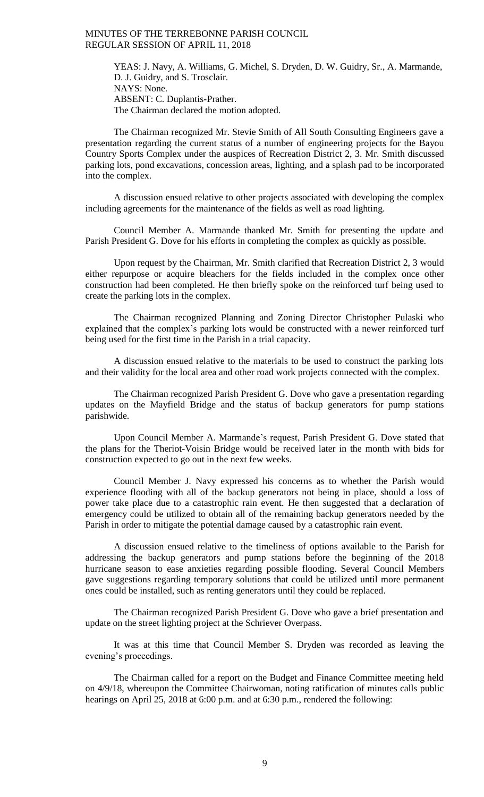YEAS: J. Navy, A. Williams, G. Michel, S. Dryden, D. W. Guidry, Sr., A. Marmande, D. J. Guidry, and S. Trosclair. NAYS: None. ABSENT: C. Duplantis-Prather. The Chairman declared the motion adopted.

The Chairman recognized Mr. Stevie Smith of All South Consulting Engineers gave a presentation regarding the current status of a number of engineering projects for the Bayou Country Sports Complex under the auspices of Recreation District 2, 3. Mr. Smith discussed parking lots, pond excavations, concession areas, lighting, and a splash pad to be incorporated into the complex.

A discussion ensued relative to other projects associated with developing the complex including agreements for the maintenance of the fields as well as road lighting.

Council Member A. Marmande thanked Mr. Smith for presenting the update and Parish President G. Dove for his efforts in completing the complex as quickly as possible.

Upon request by the Chairman, Mr. Smith clarified that Recreation District 2, 3 would either repurpose or acquire bleachers for the fields included in the complex once other construction had been completed. He then briefly spoke on the reinforced turf being used to create the parking lots in the complex.

The Chairman recognized Planning and Zoning Director Christopher Pulaski who explained that the complex's parking lots would be constructed with a newer reinforced turf being used for the first time in the Parish in a trial capacity.

A discussion ensued relative to the materials to be used to construct the parking lots and their validity for the local area and other road work projects connected with the complex.

The Chairman recognized Parish President G. Dove who gave a presentation regarding updates on the Mayfield Bridge and the status of backup generators for pump stations parishwide.

Upon Council Member A. Marmande's request, Parish President G. Dove stated that the plans for the Theriot-Voisin Bridge would be received later in the month with bids for construction expected to go out in the next few weeks.

Council Member J. Navy expressed his concerns as to whether the Parish would experience flooding with all of the backup generators not being in place, should a loss of power take place due to a catastrophic rain event. He then suggested that a declaration of emergency could be utilized to obtain all of the remaining backup generators needed by the Parish in order to mitigate the potential damage caused by a catastrophic rain event.

A discussion ensued relative to the timeliness of options available to the Parish for addressing the backup generators and pump stations before the beginning of the 2018 hurricane season to ease anxieties regarding possible flooding. Several Council Members gave suggestions regarding temporary solutions that could be utilized until more permanent ones could be installed, such as renting generators until they could be replaced.

The Chairman recognized Parish President G. Dove who gave a brief presentation and update on the street lighting project at the Schriever Overpass.

It was at this time that Council Member S. Dryden was recorded as leaving the evening's proceedings.

The Chairman called for a report on the Budget and Finance Committee meeting held on 4/9/18, whereupon the Committee Chairwoman, noting ratification of minutes calls public hearings on April 25, 2018 at 6:00 p.m. and at 6:30 p.m., rendered the following: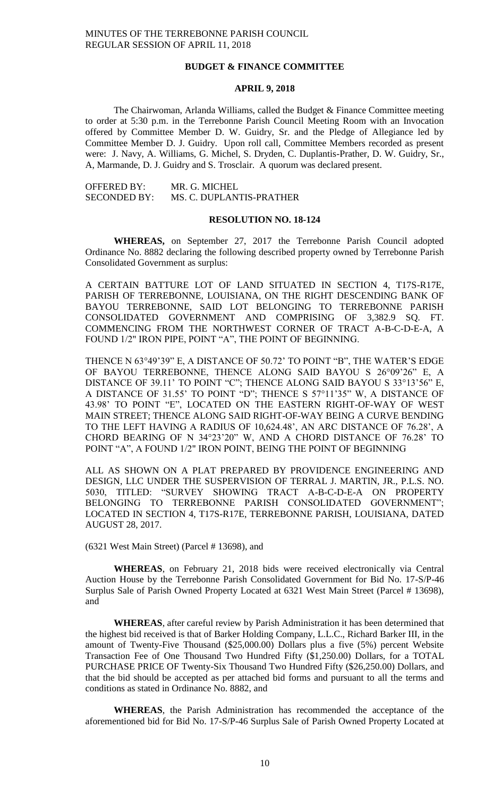## **BUDGET & FINANCE COMMITTEE**

## **APRIL 9, 2018**

The Chairwoman, Arlanda Williams, called the Budget & Finance Committee meeting to order at 5:30 p.m. in the Terrebonne Parish Council Meeting Room with an Invocation offered by Committee Member D. W. Guidry, Sr. and the Pledge of Allegiance led by Committee Member D. J. Guidry. Upon roll call, Committee Members recorded as present were: J. Navy, A. Williams, G. Michel, S. Dryden, C. Duplantis-Prather, D. W. Guidry, Sr., A, Marmande, D. J. Guidry and S. Trosclair. A quorum was declared present.

| <b>OFFERED BY:</b>  | MR. G. MICHEL            |
|---------------------|--------------------------|
| <b>SECONDED BY:</b> | MS. C. DUPLANTIS-PRATHER |

#### **RESOLUTION NO. 18-124**

**WHEREAS,** on September 27, 2017 the Terrebonne Parish Council adopted Ordinance No. 8882 declaring the following described property owned by Terrebonne Parish Consolidated Government as surplus:

A CERTAIN BATTURE LOT OF LAND SITUATED IN SECTION 4, T17S-R17E, PARISH OF TERREBONNE, LOUISIANA, ON THE RIGHT DESCENDING BANK OF BAYOU TERREBONNE, SAID LOT BELONGING TO TERREBONNE PARISH CONSOLIDATED GOVERNMENT AND COMPRISING OF 3,382.9 SQ. FT. COMMENCING FROM THE NORTHWEST CORNER OF TRACT A-B-C-D-E-A, A FOUND 1/2" IRON PIPE, POINT "A", THE POINT OF BEGINNING.

THENCE N 63°49'39" E, A DISTANCE OF 50.72' TO POINT "B", THE WATER'S EDGE OF BAYOU TERREBONNE, THENCE ALONG SAID BAYOU S 26°09'26" E, A DISTANCE OF 39.11' TO POINT "C"; THENCE ALONG SAID BAYOU S 33°13'56" E, A DISTANCE OF 31.55' TO POINT "D"; THENCE S 57°11'35" W, A DISTANCE OF 43.98' TO POINT "E", LOCATED ON THE EASTERN RIGHT-OF-WAY OF WEST MAIN STREET; THENCE ALONG SAID RIGHT-OF-WAY BEING A CURVE BENDING TO THE LEFT HAVING A RADIUS OF 10,624.48', AN ARC DISTANCE OF 76.28', A CHORD BEARING OF N 34°23'20" W, AND A CHORD DISTANCE OF 76.28' TO POINT "A", A FOUND 1/2" IRON POINT, BEING THE POINT OF BEGINNING

ALL AS SHOWN ON A PLAT PREPARED BY PROVIDENCE ENGINEERING AND DESIGN, LLC UNDER THE SUSPERVISION OF TERRAL J. MARTIN, JR., P.L.S. NO. 5030, TITLED: "SURVEY SHOWING TRACT A-B-C-D-E-A ON PROPERTY BELONGING TO TERREBONNE PARISH CONSOLIDATED GOVERNMENT"; LOCATED IN SECTION 4, T17S-R17E, TERREBONNE PARISH, LOUISIANA, DATED AUGUST 28, 2017.

(6321 West Main Street) (Parcel # 13698), and

**WHEREAS**, on February 21, 2018 bids were received electronically via Central Auction House by the Terrebonne Parish Consolidated Government for Bid No. 17-S/P-46 Surplus Sale of Parish Owned Property Located at 6321 West Main Street (Parcel # 13698), and

**WHEREAS**, after careful review by Parish Administration it has been determined that the highest bid received is that of Barker Holding Company, L.L.C., Richard Barker III, in the amount of Twenty-Five Thousand (\$25,000.00) Dollars plus a five (5%) percent Website Transaction Fee of One Thousand Two Hundred Fifty (\$1,250.00) Dollars, for a TOTAL PURCHASE PRICE OF Twenty-Six Thousand Two Hundred Fifty (\$26,250.00) Dollars, and that the bid should be accepted as per attached bid forms and pursuant to all the terms and conditions as stated in Ordinance No. 8882, and

**WHEREAS**, the Parish Administration has recommended the acceptance of the aforementioned bid for Bid No. 17-S/P-46 Surplus Sale of Parish Owned Property Located at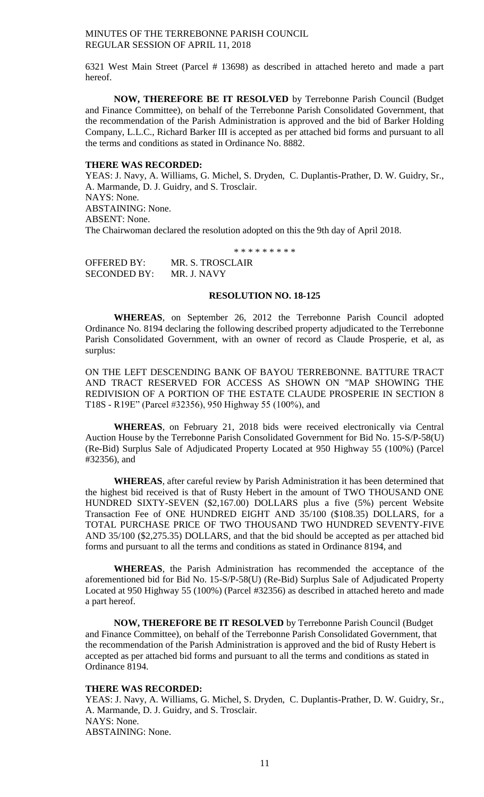6321 West Main Street (Parcel # 13698) as described in attached hereto and made a part hereof.

**NOW, THEREFORE BE IT RESOLVED** by Terrebonne Parish Council (Budget and Finance Committee), on behalf of the Terrebonne Parish Consolidated Government, that the recommendation of the Parish Administration is approved and the bid of Barker Holding Company, L.L.C., Richard Barker III is accepted as per attached bid forms and pursuant to all the terms and conditions as stated in Ordinance No. 8882.

#### **THERE WAS RECORDED:**

YEAS: J. Navy, A. Williams, G. Michel, S. Dryden, C. Duplantis-Prather, D. W. Guidry, Sr., A. Marmande, D. J. Guidry, and S. Trosclair. NAYS: None. ABSTAINING: None. ABSENT: None. The Chairwoman declared the resolution adopted on this the 9th day of April 2018.

\* \* \* \* \* \* \* \* \*

| OFFERED BY:  | <b>MR. S. TROSCLAIR</b> |
|--------------|-------------------------|
| SECONDED BY: | MR. J. NAVY             |

### **RESOLUTION NO. 18-125**

**WHEREAS**, on September 26, 2012 the Terrebonne Parish Council adopted Ordinance No. 8194 declaring the following described property adjudicated to the Terrebonne Parish Consolidated Government, with an owner of record as Claude Prosperie, et al, as surplus:

ON THE LEFT DESCENDING BANK OF BAYOU TERREBONNE. BATTURE TRACT AND TRACT RESERVED FOR ACCESS AS SHOWN ON "MAP SHOWING THE REDIVISION OF A PORTION OF THE ESTATE CLAUDE PROSPERIE IN SECTION 8 T18S - R19E" (Parcel #32356), 950 Highway 55 (100%), and

**WHEREAS**, on February 21, 2018 bids were received electronically via Central Auction House by the Terrebonne Parish Consolidated Government for Bid No. 15-S/P-58(U) (Re-Bid) Surplus Sale of Adjudicated Property Located at 950 Highway 55 (100%) (Parcel #32356), and

**WHEREAS**, after careful review by Parish Administration it has been determined that the highest bid received is that of Rusty Hebert in the amount of TWO THOUSAND ONE HUNDRED SIXTY-SEVEN (\$2,167.00) DOLLARS plus a five (5%) percent Website Transaction Fee of ONE HUNDRED EIGHT AND 35/100 (\$108.35) DOLLARS, for a TOTAL PURCHASE PRICE OF TWO THOUSAND TWO HUNDRED SEVENTY-FIVE AND 35/100 (\$2,275.35) DOLLARS, and that the bid should be accepted as per attached bid forms and pursuant to all the terms and conditions as stated in Ordinance 8194, and

**WHEREAS**, the Parish Administration has recommended the acceptance of the aforementioned bid for Bid No. 15-S/P-58(U) (Re-Bid) Surplus Sale of Adjudicated Property Located at 950 Highway 55 (100%) (Parcel #32356) as described in attached hereto and made a part hereof.

**NOW, THEREFORE BE IT RESOLVED** by Terrebonne Parish Council (Budget and Finance Committee), on behalf of the Terrebonne Parish Consolidated Government, that the recommendation of the Parish Administration is approved and the bid of Rusty Hebert is accepted as per attached bid forms and pursuant to all the terms and conditions as stated in Ordinance 8194.

## **THERE WAS RECORDED:**

YEAS: J. Navy, A. Williams, G. Michel, S. Dryden, C. Duplantis-Prather, D. W. Guidry, Sr., A. Marmande, D. J. Guidry, and S. Trosclair. NAYS: None. ABSTAINING: None.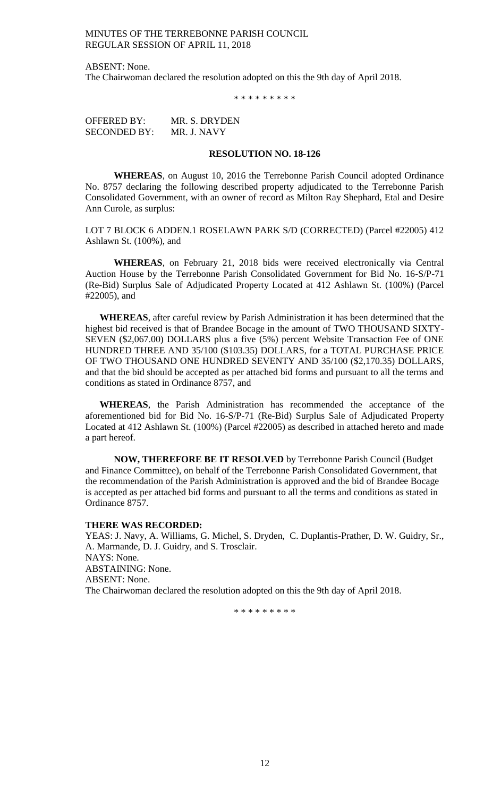ABSENT: None. The Chairwoman declared the resolution adopted on this the 9th day of April 2018.

\* \* \* \* \* \* \* \* \*

OFFERED BY: MR. S. DRYDEN SECONDED BY: MR. J. NAVY

### **RESOLUTION NO. 18-126**

**WHEREAS**, on August 10, 2016 the Terrebonne Parish Council adopted Ordinance No. 8757 declaring the following described property adjudicated to the Terrebonne Parish Consolidated Government, with an owner of record as Milton Ray Shephard, Etal and Desire Ann Curole, as surplus:

LOT 7 BLOCK 6 ADDEN.1 ROSELAWN PARK S/D (CORRECTED) (Parcel #22005) 412 Ashlawn St. (100%), and

**WHEREAS**, on February 21, 2018 bids were received electronically via Central Auction House by the Terrebonne Parish Consolidated Government for Bid No. 16-S/P-71 (Re-Bid) Surplus Sale of Adjudicated Property Located at 412 Ashlawn St. (100%) (Parcel #22005), and

**WHEREAS**, after careful review by Parish Administration it has been determined that the highest bid received is that of Brandee Bocage in the amount of TWO THOUSAND SIXTY-SEVEN (\$2,067.00) DOLLARS plus a five (5%) percent Website Transaction Fee of ONE HUNDRED THREE AND 35/100 (\$103.35) DOLLARS, for a TOTAL PURCHASE PRICE OF TWO THOUSAND ONE HUNDRED SEVENTY AND 35/100 (\$2,170.35) DOLLARS, and that the bid should be accepted as per attached bid forms and pursuant to all the terms and conditions as stated in Ordinance 8757, and

**WHEREAS**, the Parish Administration has recommended the acceptance of the aforementioned bid for Bid No. 16-S/P-71 (Re-Bid) Surplus Sale of Adjudicated Property Located at 412 Ashlawn St. (100%) (Parcel #22005) as described in attached hereto and made a part hereof.

**NOW, THEREFORE BE IT RESOLVED** by Terrebonne Parish Council (Budget and Finance Committee), on behalf of the Terrebonne Parish Consolidated Government, that the recommendation of the Parish Administration is approved and the bid of Brandee Bocage is accepted as per attached bid forms and pursuant to all the terms and conditions as stated in Ordinance 8757.

#### **THERE WAS RECORDED:**

YEAS: J. Navy, A. Williams, G. Michel, S. Dryden, C. Duplantis-Prather, D. W. Guidry, Sr., A. Marmande, D. J. Guidry, and S. Trosclair. NAYS: None. ABSTAINING: None. ABSENT: None. The Chairwoman declared the resolution adopted on this the 9th day of April 2018.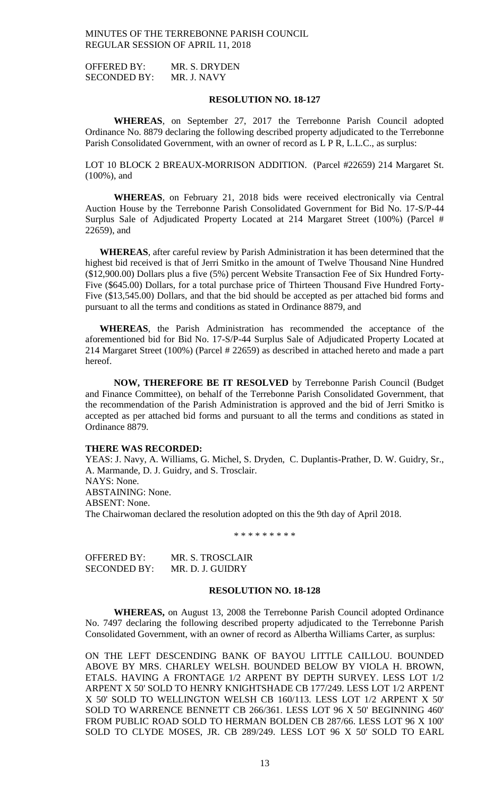OFFERED BY: MR. S. DRYDEN SECONDED BY: MR. J. NAVY

## **RESOLUTION NO. 18-127**

**WHEREAS**, on September 27, 2017 the Terrebonne Parish Council adopted Ordinance No. 8879 declaring the following described property adjudicated to the Terrebonne Parish Consolidated Government, with an owner of record as L P R, L.L.C., as surplus:

LOT 10 BLOCK 2 BREAUX-MORRISON ADDITION. (Parcel #22659) 214 Margaret St. (100%), and

**WHEREAS**, on February 21, 2018 bids were received electronically via Central Auction House by the Terrebonne Parish Consolidated Government for Bid No. 17-S/P-44 Surplus Sale of Adjudicated Property Located at 214 Margaret Street (100%) (Parcel # 22659), and

**WHEREAS**, after careful review by Parish Administration it has been determined that the highest bid received is that of Jerri Smitko in the amount of Twelve Thousand Nine Hundred (\$12,900.00) Dollars plus a five (5%) percent Website Transaction Fee of Six Hundred Forty-Five (\$645.00) Dollars, for a total purchase price of Thirteen Thousand Five Hundred Forty-Five (\$13,545.00) Dollars, and that the bid should be accepted as per attached bid forms and pursuant to all the terms and conditions as stated in Ordinance 8879, and

**WHEREAS**, the Parish Administration has recommended the acceptance of the aforementioned bid for Bid No. 17-S/P-44 Surplus Sale of Adjudicated Property Located at 214 Margaret Street (100%) (Parcel # 22659) as described in attached hereto and made a part hereof.

**NOW, THEREFORE BE IT RESOLVED** by Terrebonne Parish Council (Budget and Finance Committee), on behalf of the Terrebonne Parish Consolidated Government, that the recommendation of the Parish Administration is approved and the bid of Jerri Smitko is accepted as per attached bid forms and pursuant to all the terms and conditions as stated in Ordinance 8879.

#### **THERE WAS RECORDED:**

YEAS: J. Navy, A. Williams, G. Michel, S. Dryden, C. Duplantis-Prather, D. W. Guidry, Sr., A. Marmande, D. J. Guidry, and S. Trosclair. NAYS: None. ABSTAINING: None. ABSENT: None. The Chairwoman declared the resolution adopted on this the 9th day of April 2018.

\* \* \* \* \* \* \* \* \*

OFFERED BY: MR. S. TROSCLAIR SECONDED BY: MR. D. J. GUIDRY

### **RESOLUTION NO. 18-128**

**WHEREAS,** on August 13, 2008 the Terrebonne Parish Council adopted Ordinance No. 7497 declaring the following described property adjudicated to the Terrebonne Parish Consolidated Government, with an owner of record as Albertha Williams Carter, as surplus:

ON THE LEFT DESCENDING BANK OF BAYOU LITTLE CAILLOU. BOUNDED ABOVE BY MRS. CHARLEY WELSH. BOUNDED BELOW BY VIOLA H. BROWN, ETALS. HAVING A FRONTAGE 1/2 ARPENT BY DEPTH SURVEY. LESS LOT 1/2 ARPENT X 50' SOLD TO HENRY KNIGHTSHADE CB 177/249. LESS LOT 1/2 ARPENT X 50' SOLD TO WELLINGTON WELSH CB 160/113. LESS LOT 1/2 ARPENT X 50' SOLD TO WARRENCE BENNETT CB 266/361. LESS LOT 96 X 50' BEGINNING 460' FROM PUBLIC ROAD SOLD TO HERMAN BOLDEN CB 287/66. LESS LOT 96 X 100' SOLD TO CLYDE MOSES, JR. CB 289/249. LESS LOT 96 X 50' SOLD TO EARL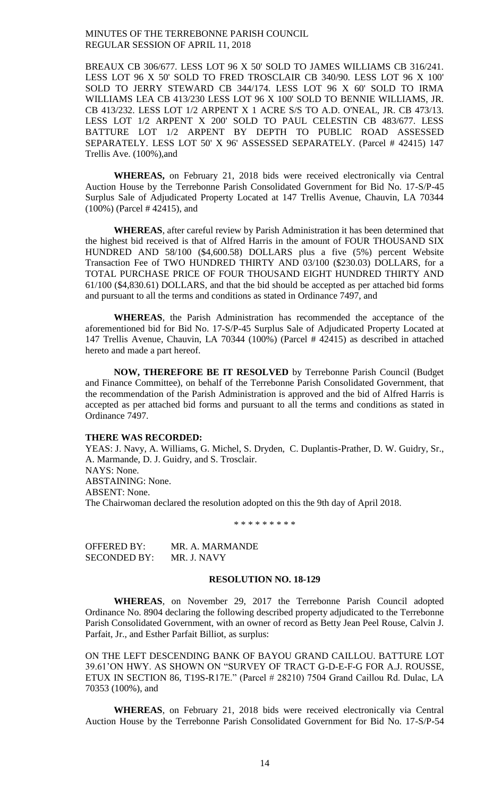BREAUX CB 306/677. LESS LOT 96 X 50' SOLD TO JAMES WILLIAMS CB 316/241. LESS LOT 96 X 50' SOLD TO FRED TROSCLAIR CB 340/90. LESS LOT 96 X 100' SOLD TO JERRY STEWARD CB 344/174. LESS LOT 96 X 60' SOLD TO IRMA WILLIAMS LEA CB 413/230 LESS LOT 96 X 100' SOLD TO BENNIE WILLIAMS, JR. CB 413/232. LESS LOT 1/2 ARPENT X 1 ACRE S/S TO A.D. O'NEAL, JR. CB 473/13. LESS LOT 1/2 ARPENT X 200' SOLD TO PAUL CELESTIN CB 483/677. LESS BATTURE LOT 1/2 ARPENT BY DEPTH TO PUBLIC ROAD ASSESSED SEPARATELY. LESS LOT 50' X 96' ASSESSED SEPARATELY. (Parcel # 42415) 147 Trellis Ave. (100%),and

**WHEREAS,** on February 21, 2018 bids were received electronically via Central Auction House by the Terrebonne Parish Consolidated Government for Bid No. 17-S/P-45 Surplus Sale of Adjudicated Property Located at 147 Trellis Avenue, Chauvin, LA 70344 (100%) (Parcel # 42415), and

**WHEREAS**, after careful review by Parish Administration it has been determined that the highest bid received is that of Alfred Harris in the amount of FOUR THOUSAND SIX HUNDRED AND 58/100 (\$4,600.58) DOLLARS plus a five (5%) percent Website Transaction Fee of TWO HUNDRED THIRTY AND 03/100 (\$230.03) DOLLARS, for a TOTAL PURCHASE PRICE OF FOUR THOUSAND EIGHT HUNDRED THIRTY AND 61/100 (\$4,830.61) DOLLARS, and that the bid should be accepted as per attached bid forms and pursuant to all the terms and conditions as stated in Ordinance 7497, and

**WHEREAS**, the Parish Administration has recommended the acceptance of the aforementioned bid for Bid No. 17-S/P-45 Surplus Sale of Adjudicated Property Located at 147 Trellis Avenue, Chauvin, LA 70344 (100%) (Parcel # 42415) as described in attached hereto and made a part hereof.

**NOW, THEREFORE BE IT RESOLVED** by Terrebonne Parish Council (Budget and Finance Committee), on behalf of the Terrebonne Parish Consolidated Government, that the recommendation of the Parish Administration is approved and the bid of Alfred Harris is accepted as per attached bid forms and pursuant to all the terms and conditions as stated in Ordinance 7497.

#### **THERE WAS RECORDED:**

YEAS: J. Navy, A. Williams, G. Michel, S. Dryden, C. Duplantis-Prather, D. W. Guidry, Sr., A. Marmande, D. J. Guidry, and S. Trosclair. NAYS: None. ABSTAINING: None. ABSENT: None. The Chairwoman declared the resolution adopted on this the 9th day of April 2018.

\* \* \* \* \* \* \* \* \*

OFFERED BY: MR. A. MARMANDE SECONDED BY: MR. J. NAVY

# **RESOLUTION NO. 18-129**

**WHEREAS**, on November 29, 2017 the Terrebonne Parish Council adopted Ordinance No. 8904 declaring the following described property adjudicated to the Terrebonne Parish Consolidated Government, with an owner of record as Betty Jean Peel Rouse, Calvin J. Parfait, Jr., and Esther Parfait Billiot, as surplus:

ON THE LEFT DESCENDING BANK OF BAYOU GRAND CAILLOU. BATTURE LOT 39.61'ON HWY. AS SHOWN ON "SURVEY OF TRACT G-D-E-F-G FOR A.J. ROUSSE, ETUX IN SECTION 86, T19S-R17E." (Parcel # 28210) 7504 Grand Caillou Rd. Dulac, LA 70353 (100%), and

**WHEREAS**, on February 21, 2018 bids were received electronically via Central Auction House by the Terrebonne Parish Consolidated Government for Bid No. 17-S/P-54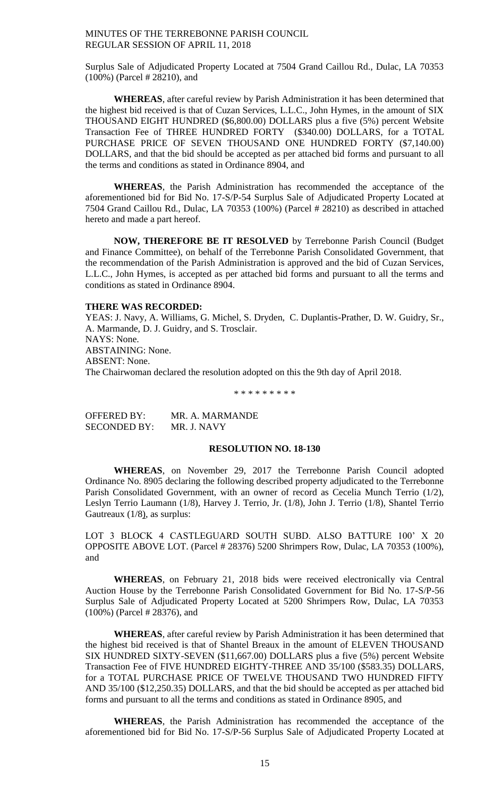Surplus Sale of Adjudicated Property Located at 7504 Grand Caillou Rd., Dulac, LA 70353 (100%) (Parcel # 28210), and

**WHEREAS**, after careful review by Parish Administration it has been determined that the highest bid received is that of Cuzan Services, L.L.C., John Hymes, in the amount of SIX THOUSAND EIGHT HUNDRED (\$6,800.00) DOLLARS plus a five (5%) percent Website Transaction Fee of THREE HUNDRED FORTY (\$340.00) DOLLARS, for a TOTAL PURCHASE PRICE OF SEVEN THOUSAND ONE HUNDRED FORTY (\$7,140.00) DOLLARS, and that the bid should be accepted as per attached bid forms and pursuant to all the terms and conditions as stated in Ordinance 8904, and

**WHEREAS**, the Parish Administration has recommended the acceptance of the aforementioned bid for Bid No. 17-S/P-54 Surplus Sale of Adjudicated Property Located at 7504 Grand Caillou Rd., Dulac, LA 70353 (100%) (Parcel # 28210) as described in attached hereto and made a part hereof.

**NOW, THEREFORE BE IT RESOLVED** by Terrebonne Parish Council (Budget and Finance Committee), on behalf of the Terrebonne Parish Consolidated Government, that the recommendation of the Parish Administration is approved and the bid of Cuzan Services, L.L.C., John Hymes, is accepted as per attached bid forms and pursuant to all the terms and conditions as stated in Ordinance 8904.

## **THERE WAS RECORDED:**

YEAS: J. Navy, A. Williams, G. Michel, S. Dryden, C. Duplantis-Prather, D. W. Guidry, Sr., A. Marmande, D. J. Guidry, and S. Trosclair. NAYS: None. ABSTAINING: None. ABSENT: None. The Chairwoman declared the resolution adopted on this the 9th day of April 2018.

\* \* \* \* \* \* \* \* \*

OFFERED BY: MR. A. MARMANDE SECONDED BY: MR. J. NAVY

### **RESOLUTION NO. 18-130**

**WHEREAS**, on November 29, 2017 the Terrebonne Parish Council adopted Ordinance No. 8905 declaring the following described property adjudicated to the Terrebonne Parish Consolidated Government, with an owner of record as Cecelia Munch Terrio (1/2), Leslyn Terrio Laumann (1/8), Harvey J. Terrio, Jr. (1/8), John J. Terrio (1/8), Shantel Terrio Gautreaux (1/8), as surplus:

LOT 3 BLOCK 4 CASTLEGUARD SOUTH SUBD. ALSO BATTURE 100' X 20 OPPOSITE ABOVE LOT. (Parcel # 28376) 5200 Shrimpers Row, Dulac, LA 70353 (100%), and

**WHEREAS**, on February 21, 2018 bids were received electronically via Central Auction House by the Terrebonne Parish Consolidated Government for Bid No. 17-S/P-56 Surplus Sale of Adjudicated Property Located at 5200 Shrimpers Row, Dulac, LA 70353 (100%) (Parcel # 28376), and

**WHEREAS**, after careful review by Parish Administration it has been determined that the highest bid received is that of Shantel Breaux in the amount of ELEVEN THOUSAND SIX HUNDRED SIXTY-SEVEN (\$11,667.00) DOLLARS plus a five (5%) percent Website Transaction Fee of FIVE HUNDRED EIGHTY-THREE AND 35/100 (\$583.35) DOLLARS, for a TOTAL PURCHASE PRICE OF TWELVE THOUSAND TWO HUNDRED FIFTY AND 35/100 (\$12,250.35) DOLLARS, and that the bid should be accepted as per attached bid forms and pursuant to all the terms and conditions as stated in Ordinance 8905, and

**WHEREAS**, the Parish Administration has recommended the acceptance of the aforementioned bid for Bid No. 17-S/P-56 Surplus Sale of Adjudicated Property Located at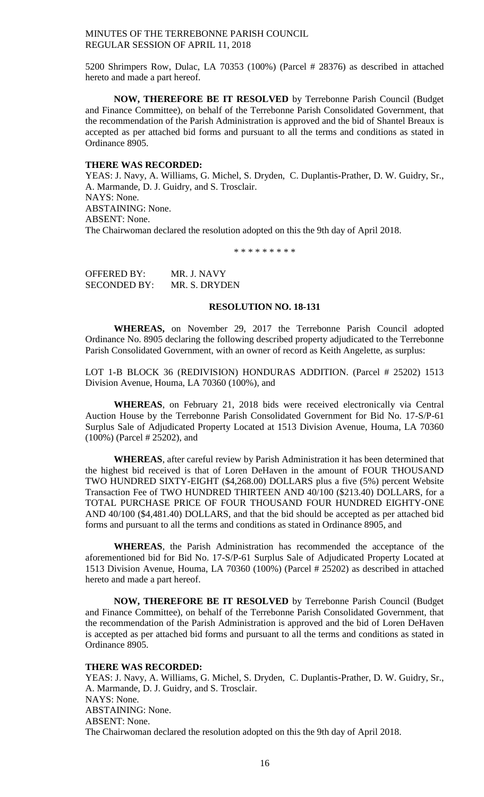5200 Shrimpers Row, Dulac, LA 70353 (100%) (Parcel # 28376) as described in attached hereto and made a part hereof.

**NOW, THEREFORE BE IT RESOLVED** by Terrebonne Parish Council (Budget and Finance Committee), on behalf of the Terrebonne Parish Consolidated Government, that the recommendation of the Parish Administration is approved and the bid of Shantel Breaux is accepted as per attached bid forms and pursuant to all the terms and conditions as stated in Ordinance 8905.

#### **THERE WAS RECORDED:**

YEAS: J. Navy, A. Williams, G. Michel, S. Dryden, C. Duplantis-Prather, D. W. Guidry, Sr., A. Marmande, D. J. Guidry, and S. Trosclair. NAYS: None. ABSTAINING: None. ABSENT: None. The Chairwoman declared the resolution adopted on this the 9th day of April 2018.

\* \* \* \* \* \* \* \* \*

OFFERED BY: MR. J. NAVY SECONDED BY: MR. S. DRYDEN

# **RESOLUTION NO. 18-131**

**WHEREAS,** on November 29, 2017 the Terrebonne Parish Council adopted Ordinance No. 8905 declaring the following described property adjudicated to the Terrebonne Parish Consolidated Government, with an owner of record as Keith Angelette, as surplus:

LOT 1-B BLOCK 36 (REDIVISION) HONDURAS ADDITION. (Parcel # 25202) 1513 Division Avenue, Houma, LA 70360 (100%), and

**WHEREAS**, on February 21, 2018 bids were received electronically via Central Auction House by the Terrebonne Parish Consolidated Government for Bid No. 17-S/P-61 Surplus Sale of Adjudicated Property Located at 1513 Division Avenue, Houma, LA 70360 (100%) (Parcel # 25202), and

**WHEREAS**, after careful review by Parish Administration it has been determined that the highest bid received is that of Loren DeHaven in the amount of FOUR THOUSAND TWO HUNDRED SIXTY-EIGHT (\$4,268.00) DOLLARS plus a five (5%) percent Website Transaction Fee of TWO HUNDRED THIRTEEN AND 40/100 (\$213.40) DOLLARS, for a TOTAL PURCHASE PRICE OF FOUR THOUSAND FOUR HUNDRED EIGHTY-ONE AND 40/100 (\$4,481.40) DOLLARS, and that the bid should be accepted as per attached bid forms and pursuant to all the terms and conditions as stated in Ordinance 8905, and

**WHEREAS**, the Parish Administration has recommended the acceptance of the aforementioned bid for Bid No. 17-S/P-61 Surplus Sale of Adjudicated Property Located at 1513 Division Avenue, Houma, LA 70360 (100%) (Parcel # 25202) as described in attached hereto and made a part hereof.

**NOW, THEREFORE BE IT RESOLVED** by Terrebonne Parish Council (Budget and Finance Committee), on behalf of the Terrebonne Parish Consolidated Government, that the recommendation of the Parish Administration is approved and the bid of Loren DeHaven is accepted as per attached bid forms and pursuant to all the terms and conditions as stated in Ordinance 8905.

## **THERE WAS RECORDED:**

YEAS: J. Navy, A. Williams, G. Michel, S. Dryden, C. Duplantis-Prather, D. W. Guidry, Sr., A. Marmande, D. J. Guidry, and S. Trosclair. NAYS: None. ABSTAINING: None. ABSENT: None. The Chairwoman declared the resolution adopted on this the 9th day of April 2018.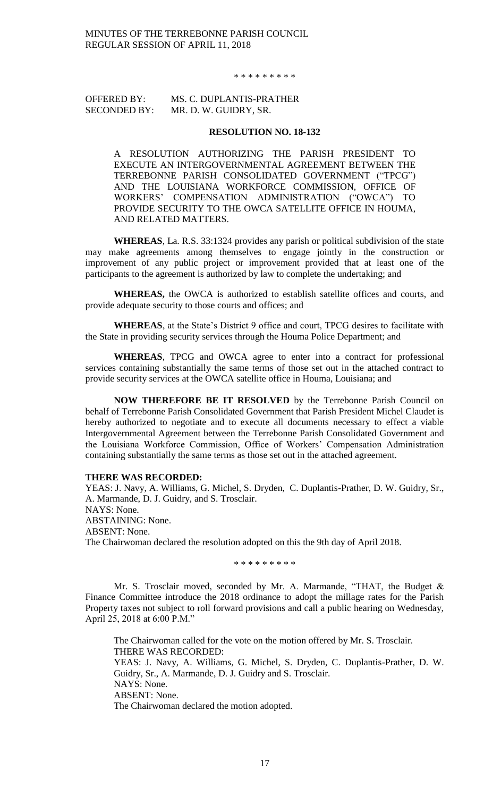#### \* \* \* \* \* \* \* \* \*

# OFFERED BY: MS. C. DUPLANTIS-PRATHER SECONDED BY: MR. D. W. GUIDRY, SR.

#### **RESOLUTION NO. 18-132**

A RESOLUTION AUTHORIZING THE PARISH PRESIDENT TO EXECUTE AN INTERGOVERNMENTAL AGREEMENT BETWEEN THE TERREBONNE PARISH CONSOLIDATED GOVERNMENT ("TPCG") AND THE LOUISIANA WORKFORCE COMMISSION, OFFICE OF WORKERS' COMPENSATION ADMINISTRATION ("OWCA") TO PROVIDE SECURITY TO THE OWCA SATELLITE OFFICE IN HOUMA, AND RELATED MATTERS.

**WHEREAS**, La. R.S. 33:1324 provides any parish or political subdivision of the state may make agreements among themselves to engage jointly in the construction or improvement of any public project or improvement provided that at least one of the participants to the agreement is authorized by law to complete the undertaking; and

**WHEREAS,** the OWCA is authorized to establish satellite offices and courts, and provide adequate security to those courts and offices; and

**WHEREAS**, at the State's District 9 office and court, TPCG desires to facilitate with the State in providing security services through the Houma Police Department; and

**WHEREAS**, TPCG and OWCA agree to enter into a contract for professional services containing substantially the same terms of those set out in the attached contract to provide security services at the OWCA satellite office in Houma, Louisiana; and

**NOW THEREFORE BE IT RESOLVED** by the Terrebonne Parish Council on behalf of Terrebonne Parish Consolidated Government that Parish President Michel Claudet is hereby authorized to negotiate and to execute all documents necessary to effect a viable Intergovernmental Agreement between the Terrebonne Parish Consolidated Government and the Louisiana Workforce Commission, Office of Workers' Compensation Administration containing substantially the same terms as those set out in the attached agreement.

### **THERE WAS RECORDED:**

YEAS: J. Navy, A. Williams, G. Michel, S. Dryden, C. Duplantis-Prather, D. W. Guidry, Sr., A. Marmande, D. J. Guidry, and S. Trosclair. NAYS: None. ABSTAINING: None. ABSENT: None. The Chairwoman declared the resolution adopted on this the 9th day of April 2018.

\* \* \* \* \* \* \* \* \*

Mr. S. Trosclair moved, seconded by Mr. A. Marmande, "THAT, the Budget & Finance Committee introduce the 2018 ordinance to adopt the millage rates for the Parish Property taxes not subject to roll forward provisions and call a public hearing on Wednesday, April 25, 2018 at 6:00 P.M."

The Chairwoman called for the vote on the motion offered by Mr. S. Trosclair. THERE WAS RECORDED: YEAS: J. Navy, A. Williams, G. Michel, S. Dryden, C. Duplantis-Prather, D. W. Guidry, Sr., A. Marmande, D. J. Guidry and S. Trosclair. NAYS: None. ABSENT: None. The Chairwoman declared the motion adopted.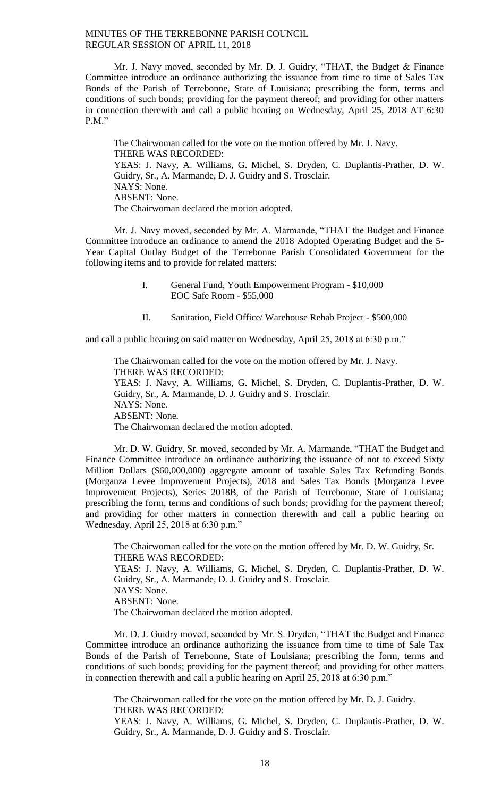Mr. J. Navy moved, seconded by Mr. D. J. Guidry, "THAT, the Budget & Finance Committee introduce an ordinance authorizing the issuance from time to time of Sales Tax Bonds of the Parish of Terrebonne, State of Louisiana; prescribing the form, terms and conditions of such bonds; providing for the payment thereof; and providing for other matters in connection therewith and call a public hearing on Wednesday, April 25, 2018 AT 6:30 P.M."

The Chairwoman called for the vote on the motion offered by Mr. J. Navy. THERE WAS RECORDED: YEAS: J. Navy, A. Williams, G. Michel, S. Dryden, C. Duplantis-Prather, D. W. Guidry, Sr., A. Marmande, D. J. Guidry and S. Trosclair. NAYS: None. ABSENT: None. The Chairwoman declared the motion adopted.

Mr. J. Navy moved, seconded by Mr. A. Marmande, "THAT the Budget and Finance Committee introduce an ordinance to amend the 2018 Adopted Operating Budget and the 5- Year Capital Outlay Budget of the Terrebonne Parish Consolidated Government for the following items and to provide for related matters:

- I. General Fund, Youth Empowerment Program \$10,000 EOC Safe Room - \$55,000
- II. Sanitation, Field Office/ Warehouse Rehab Project \$500,000

and call a public hearing on said matter on Wednesday, April 25, 2018 at 6:30 p.m."

The Chairwoman called for the vote on the motion offered by Mr. J. Navy. THERE WAS RECORDED: YEAS: J. Navy, A. Williams, G. Michel, S. Dryden, C. Duplantis-Prather, D. W. Guidry, Sr., A. Marmande, D. J. Guidry and S. Trosclair. NAYS: None. ABSENT: None. The Chairwoman declared the motion adopted.

Mr. D. W. Guidry, Sr. moved, seconded by Mr. A. Marmande, "THAT the Budget and Finance Committee introduce an ordinance authorizing the issuance of not to exceed Sixty Million Dollars (\$60,000,000) aggregate amount of taxable Sales Tax Refunding Bonds (Morganza Levee Improvement Projects), 2018 and Sales Tax Bonds (Morganza Levee Improvement Projects), Series 2018B, of the Parish of Terrebonne, State of Louisiana; prescribing the form, terms and conditions of such bonds; providing for the payment thereof; and providing for other matters in connection therewith and call a public hearing on Wednesday, April 25, 2018 at 6:30 p.m."

The Chairwoman called for the vote on the motion offered by Mr. D. W. Guidry, Sr. THERE WAS RECORDED: YEAS: J. Navy, A. Williams, G. Michel, S. Dryden, C. Duplantis-Prather, D. W. Guidry, Sr., A. Marmande, D. J. Guidry and S. Trosclair. NAYS: None. ABSENT: None. The Chairwoman declared the motion adopted.

Mr. D. J. Guidry moved, seconded by Mr. S. Dryden, "THAT the Budget and Finance Committee introduce an ordinance authorizing the issuance from time to time of Sale Tax Bonds of the Parish of Terrebonne, State of Louisiana; prescribing the form, terms and conditions of such bonds; providing for the payment thereof; and providing for other matters in connection therewith and call a public hearing on April 25, 2018 at 6:30 p.m."

The Chairwoman called for the vote on the motion offered by Mr. D. J. Guidry. THERE WAS RECORDED:

YEAS: J. Navy, A. Williams, G. Michel, S. Dryden, C. Duplantis-Prather, D. W. Guidry, Sr., A. Marmande, D. J. Guidry and S. Trosclair.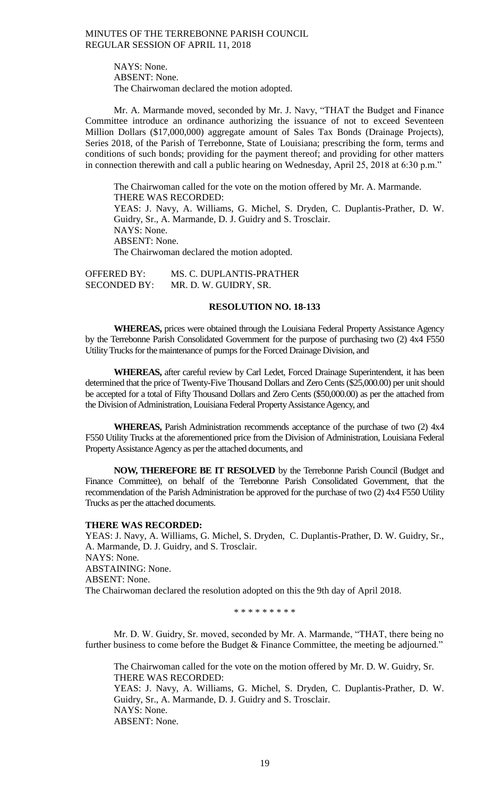NAYS: None. ABSENT: None. The Chairwoman declared the motion adopted.

Mr. A. Marmande moved, seconded by Mr. J. Navy, "THAT the Budget and Finance Committee introduce an ordinance authorizing the issuance of not to exceed Seventeen Million Dollars (\$17,000,000) aggregate amount of Sales Tax Bonds (Drainage Projects), Series 2018, of the Parish of Terrebonne, State of Louisiana; prescribing the form, terms and conditions of such bonds; providing for the payment thereof; and providing for other matters in connection therewith and call a public hearing on Wednesday, April 25, 2018 at 6:30 p.m."

The Chairwoman called for the vote on the motion offered by Mr. A. Marmande. THERE WAS RECORDED: YEAS: J. Navy, A. Williams, G. Michel, S. Dryden, C. Duplantis-Prather, D. W. Guidry, Sr., A. Marmande, D. J. Guidry and S. Trosclair. NAYS: None. ABSENT: None. The Chairwoman declared the motion adopted.

OFFERED BY: MS. C. DUPLANTIS-PRATHER SECONDED BY: MR. D. W. GUIDRY, SR.

# **RESOLUTION NO. 18-133**

**WHEREAS,** prices were obtained through the Louisiana Federal Property Assistance Agency by the Terrebonne Parish Consolidated Government for the purpose of purchasing two (2) 4x4 F550 Utility Trucks for the maintenance of pumps for the Forced Drainage Division, and

**WHEREAS,** after careful review by Carl Ledet, Forced Drainage Superintendent, it has been determined that the price of Twenty-Five Thousand Dollars and Zero Cents (\$25,000.00) per unit should be accepted for a total of Fifty Thousand Dollars and Zero Cents (\$50,000.00) as per the attached from the Division of Administration, Louisiana Federal Property Assistance Agency, and

**WHEREAS,** Parish Administration recommends acceptance of the purchase of two (2) 4x4 F550 Utility Trucks at the aforementioned price from the Division of Administration, Louisiana Federal Property Assistance Agency as per the attached documents, and

**NOW, THEREFORE BE IT RESOLVED** by the Terrebonne Parish Council (Budget and Finance Committee), on behalf of the Terrebonne Parish Consolidated Government, that the recommendation of the Parish Administration be approved for the purchase of two (2) 4x4 F550 Utility Trucks as per the attached documents.

#### **THERE WAS RECORDED:**

YEAS: J. Navy, A. Williams, G. Michel, S. Dryden, C. Duplantis-Prather, D. W. Guidry, Sr., A. Marmande, D. J. Guidry, and S. Trosclair. NAYS: None. ABSTAINING: None. ABSENT: None. The Chairwoman declared the resolution adopted on this the 9th day of April 2018.

\* \* \* \* \* \* \* \* \*

Mr. D. W. Guidry, Sr. moved, seconded by Mr. A. Marmande, "THAT, there being no further business to come before the Budget & Finance Committee, the meeting be adjourned."

The Chairwoman called for the vote on the motion offered by Mr. D. W. Guidry, Sr. THERE WAS RECORDED: YEAS: J. Navy, A. Williams, G. Michel, S. Dryden, C. Duplantis-Prather, D. W. Guidry, Sr., A. Marmande, D. J. Guidry and S. Trosclair. NAYS: None. ABSENT: None.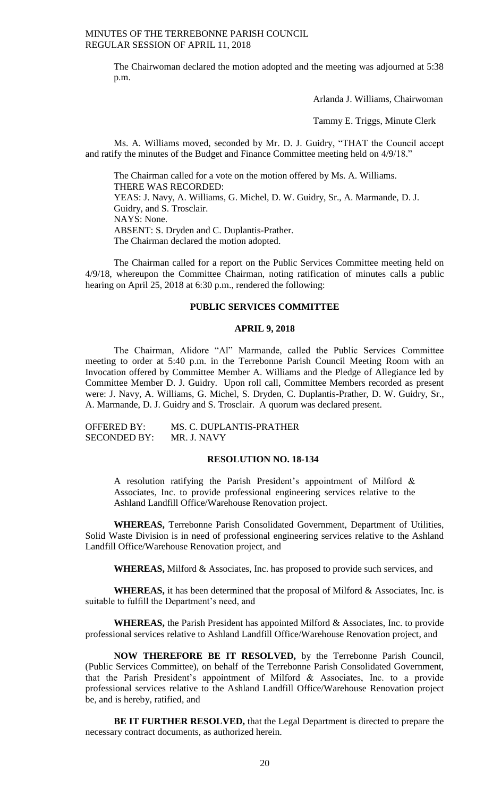> The Chairwoman declared the motion adopted and the meeting was adjourned at 5:38 p.m.

> > Arlanda J. Williams, Chairwoman

Tammy E. Triggs, Minute Clerk

Ms. A. Williams moved, seconded by Mr. D. J. Guidry, "THAT the Council accept and ratify the minutes of the Budget and Finance Committee meeting held on 4/9/18."

The Chairman called for a vote on the motion offered by Ms. A. Williams. THERE WAS RECORDED: YEAS: J. Navy, A. Williams, G. Michel, D. W. Guidry, Sr., A. Marmande, D. J. Guidry, and S. Trosclair. NAYS: None. ABSENT: S. Dryden and C. Duplantis-Prather. The Chairman declared the motion adopted.

The Chairman called for a report on the Public Services Committee meeting held on 4/9/18, whereupon the Committee Chairman, noting ratification of minutes calls a public hearing on April 25, 2018 at 6:30 p.m., rendered the following:

# **PUBLIC SERVICES COMMITTEE**

### **APRIL 9, 2018**

The Chairman, Alidore "Al" Marmande, called the Public Services Committee meeting to order at 5:40 p.m. in the Terrebonne Parish Council Meeting Room with an Invocation offered by Committee Member A. Williams and the Pledge of Allegiance led by Committee Member D. J. Guidry. Upon roll call, Committee Members recorded as present were: J. Navy, A. Williams, G. Michel, S. Dryden, C. Duplantis-Prather, D. W. Guidry, Sr., A. Marmande, D. J. Guidry and S. Trosclair. A quorum was declared present.

OFFERED BY: MS. C. DUPLANTIS-PRATHER<br>SECONDED BY: MR. J. NAVY SECONDED BY:

### **RESOLUTION NO. 18-134**

A resolution ratifying the Parish President's appointment of Milford & Associates, Inc. to provide professional engineering services relative to the Ashland Landfill Office/Warehouse Renovation project.

**WHEREAS,** Terrebonne Parish Consolidated Government, Department of Utilities, Solid Waste Division is in need of professional engineering services relative to the Ashland Landfill Office/Warehouse Renovation project, and

**WHEREAS,** Milford & Associates, Inc. has proposed to provide such services, and

**WHEREAS,** it has been determined that the proposal of Milford & Associates, Inc. is suitable to fulfill the Department's need, and

**WHEREAS,** the Parish President has appointed Milford & Associates, Inc. to provide professional services relative to Ashland Landfill Office/Warehouse Renovation project, and

**NOW THEREFORE BE IT RESOLVED,** by the Terrebonne Parish Council, (Public Services Committee), on behalf of the Terrebonne Parish Consolidated Government, that the Parish President's appointment of Milford & Associates, Inc. to a provide professional services relative to the Ashland Landfill Office/Warehouse Renovation project be, and is hereby, ratified, and

**BE IT FURTHER RESOLVED,** that the Legal Department is directed to prepare the necessary contract documents, as authorized herein.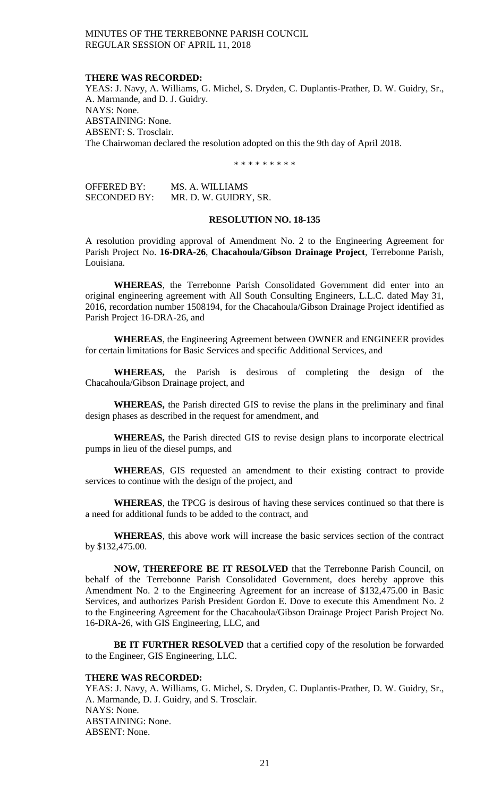### **THERE WAS RECORDED:**

YEAS: J. Navy, A. Williams, G. Michel, S. Dryden, C. Duplantis-Prather, D. W. Guidry, Sr., A. Marmande, and D. J. Guidry. NAYS: None. ABSTAINING: None. ABSENT: S. Trosclair. The Chairwoman declared the resolution adopted on this the 9th day of April 2018.

\* \* \* \* \* \* \* \* \*

| <b>OFFERED BY:</b>  | MS. A. WILLIAMS       |
|---------------------|-----------------------|
| <b>SECONDED BY:</b> | MR. D. W. GUIDRY, SR. |

## **RESOLUTION NO. 18-135**

A resolution providing approval of Amendment No. 2 to the Engineering Agreement for Parish Project No. **16-DRA-26**, **Chacahoula/Gibson Drainage Project**, Terrebonne Parish, Louisiana.

**WHEREAS**, the Terrebonne Parish Consolidated Government did enter into an original engineering agreement with All South Consulting Engineers, L.L.C. dated May 31, 2016, recordation number 1508194, for the Chacahoula/Gibson Drainage Project identified as Parish Project 16-DRA-26, and

**WHEREAS**, the Engineering Agreement between OWNER and ENGINEER provides for certain limitations for Basic Services and specific Additional Services, and

**WHEREAS,** the Parish is desirous of completing the design of the Chacahoula/Gibson Drainage project, and

**WHEREAS,** the Parish directed GIS to revise the plans in the preliminary and final design phases as described in the request for amendment, and

**WHEREAS,** the Parish directed GIS to revise design plans to incorporate electrical pumps in lieu of the diesel pumps, and

**WHEREAS**, GIS requested an amendment to their existing contract to provide services to continue with the design of the project, and

**WHEREAS**, the TPCG is desirous of having these services continued so that there is a need for additional funds to be added to the contract, and

**WHEREAS**, this above work will increase the basic services section of the contract by \$132,475.00.

**NOW, THEREFORE BE IT RESOLVED** that the Terrebonne Parish Council, on behalf of the Terrebonne Parish Consolidated Government, does hereby approve this Amendment No. 2 to the Engineering Agreement for an increase of \$132,475.00 in Basic Services, and authorizes Parish President Gordon E. Dove to execute this Amendment No. 2 to the Engineering Agreement for the Chacahoula/Gibson Drainage Project Parish Project No. 16-DRA-26, with GIS Engineering, LLC, and

**BE IT FURTHER RESOLVED** that a certified copy of the resolution be forwarded to the Engineer, GIS Engineering, LLC.

## **THERE WAS RECORDED:**

YEAS: J. Navy, A. Williams, G. Michel, S. Dryden, C. Duplantis-Prather, D. W. Guidry, Sr., A. Marmande, D. J. Guidry, and S. Trosclair. NAYS: None. ABSTAINING: None. ABSENT: None.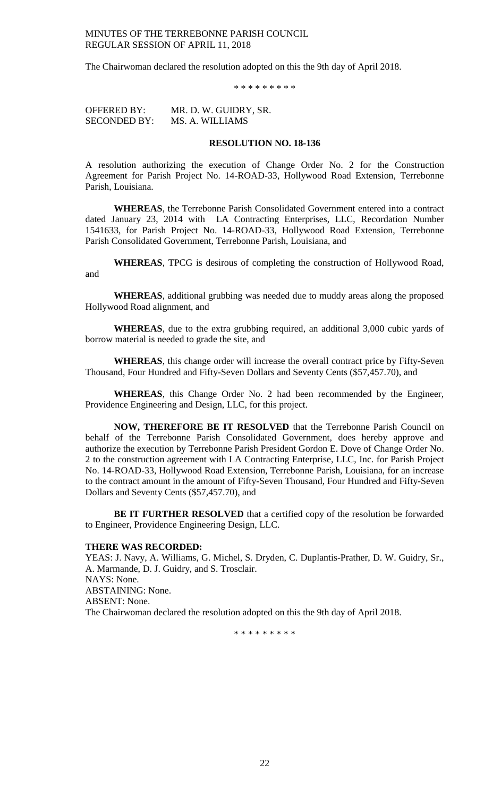The Chairwoman declared the resolution adopted on this the 9th day of April 2018.

\* \* \* \* \* \* \* \* \*

OFFERED BY: MR. D. W. GUIDRY, SR. SECONDED BY: MS. A. WILLIAMS

## **RESOLUTION NO. 18-136**

A resolution authorizing the execution of Change Order No. 2 for the Construction Agreement for Parish Project No. 14-ROAD-33, Hollywood Road Extension, Terrebonne Parish, Louisiana.

**WHEREAS**, the Terrebonne Parish Consolidated Government entered into a contract dated January 23, 2014 with LA Contracting Enterprises, LLC, Recordation Number 1541633, for Parish Project No. 14-ROAD-33, Hollywood Road Extension, Terrebonne Parish Consolidated Government, Terrebonne Parish, Louisiana, and

**WHEREAS**, TPCG is desirous of completing the construction of Hollywood Road, and

**WHEREAS**, additional grubbing was needed due to muddy areas along the proposed Hollywood Road alignment, and

**WHEREAS**, due to the extra grubbing required, an additional 3,000 cubic yards of borrow material is needed to grade the site, and

**WHEREAS**, this change order will increase the overall contract price by Fifty-Seven Thousand, Four Hundred and Fifty-Seven Dollars and Seventy Cents (\$57,457.70), and

**WHEREAS**, this Change Order No. 2 had been recommended by the Engineer, Providence Engineering and Design, LLC, for this project.

**NOW, THEREFORE BE IT RESOLVED** that the Terrebonne Parish Council on behalf of the Terrebonne Parish Consolidated Government, does hereby approve and authorize the execution by Terrebonne Parish President Gordon E. Dove of Change Order No. 2 to the construction agreement with LA Contracting Enterprise, LLC, Inc. for Parish Project No. 14-ROAD-33, Hollywood Road Extension, Terrebonne Parish, Louisiana, for an increase to the contract amount in the amount of Fifty-Seven Thousand, Four Hundred and Fifty-Seven Dollars and Seventy Cents (\$57,457.70), and

**BE IT FURTHER RESOLVED** that a certified copy of the resolution be forwarded to Engineer, Providence Engineering Design, LLC.

#### **THERE WAS RECORDED:**

YEAS: J. Navy, A. Williams, G. Michel, S. Dryden, C. Duplantis-Prather, D. W. Guidry, Sr., A. Marmande, D. J. Guidry, and S. Trosclair. NAYS: None. ABSTAINING: None. ABSENT: None. The Chairwoman declared the resolution adopted on this the 9th day of April 2018.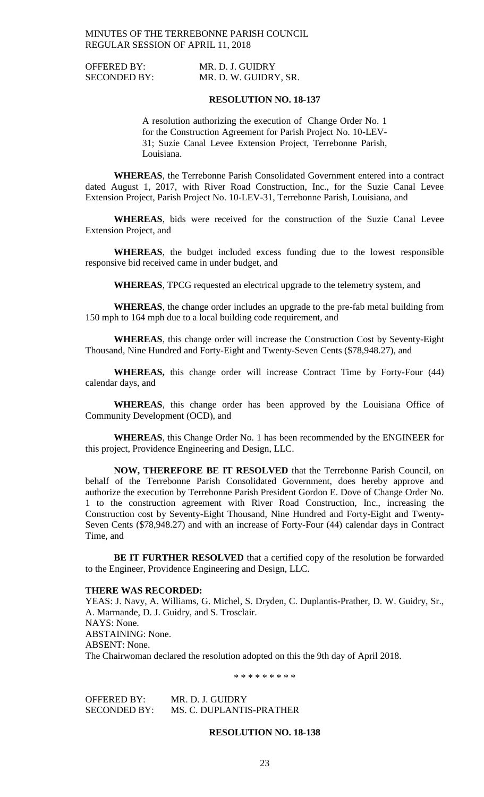OFFERED BY: MR. D. J. GUIDRY SECONDED BY: MR. D. W. GUIDRY, SR.

### **RESOLUTION NO. 18-137**

A resolution authorizing the execution of Change Order No. 1 for the Construction Agreement for Parish Project No. 10-LEV-31; Suzie Canal Levee Extension Project, Terrebonne Parish, Louisiana.

**WHEREAS**, the Terrebonne Parish Consolidated Government entered into a contract dated August 1, 2017, with River Road Construction, Inc., for the Suzie Canal Levee Extension Project, Parish Project No. 10-LEV-31, Terrebonne Parish, Louisiana, and

**WHEREAS**, bids were received for the construction of the Suzie Canal Levee Extension Project, and

**WHEREAS**, the budget included excess funding due to the lowest responsible responsive bid received came in under budget, and

**WHEREAS**, TPCG requested an electrical upgrade to the telemetry system, and

**WHEREAS**, the change order includes an upgrade to the pre-fab metal building from 150 mph to 164 mph due to a local building code requirement, and

**WHEREAS**, this change order will increase the Construction Cost by Seventy-Eight Thousand, Nine Hundred and Forty-Eight and Twenty-Seven Cents (\$78,948.27), and

**WHEREAS,** this change order will increase Contract Time by Forty-Four (44) calendar days, and

**WHEREAS**, this change order has been approved by the Louisiana Office of Community Development (OCD), and

**WHEREAS**, this Change Order No. 1 has been recommended by the ENGINEER for this project, Providence Engineering and Design, LLC.

**NOW, THEREFORE BE IT RESOLVED** that the Terrebonne Parish Council, on behalf of the Terrebonne Parish Consolidated Government, does hereby approve and authorize the execution by Terrebonne Parish President Gordon E. Dove of Change Order No. 1 to the construction agreement with River Road Construction, Inc., increasing the Construction cost by Seventy-Eight Thousand, Nine Hundred and Forty-Eight and Twenty-Seven Cents (\$78,948.27) and with an increase of Forty-Four (44) calendar days in Contract Time, and

**BE IT FURTHER RESOLVED** that a certified copy of the resolution be forwarded to the Engineer, Providence Engineering and Design, LLC.

## **THERE WAS RECORDED:**

YEAS: J. Navy, A. Williams, G. Michel, S. Dryden, C. Duplantis-Prather, D. W. Guidry, Sr., A. Marmande, D. J. Guidry, and S. Trosclair. NAYS: None. ABSTAINING: None. ABSENT: None. The Chairwoman declared the resolution adopted on this the 9th day of April 2018.

\* \* \* \* \* \* \* \* \*

OFFERED BY: MR. D. J. GUIDRY SECONDED BY: MS. C. DUPLANTIS-PRATHER

## **RESOLUTION NO. 18-138**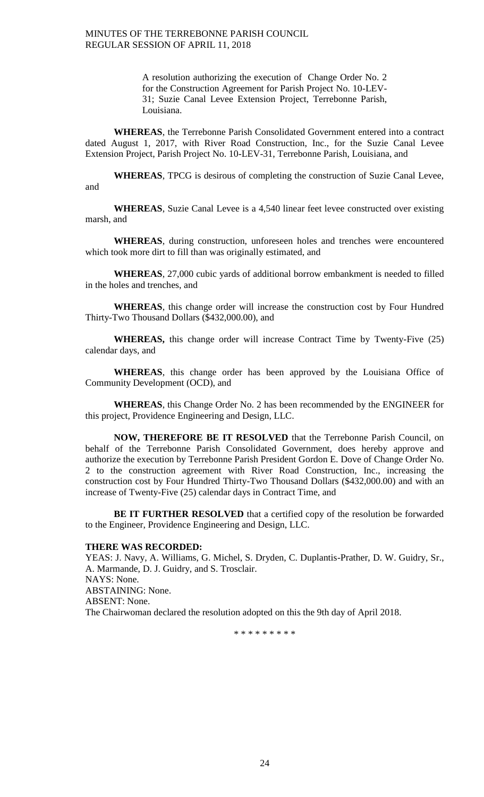> A resolution authorizing the execution of Change Order No. 2 for the Construction Agreement for Parish Project No. 10-LEV-31; Suzie Canal Levee Extension Project, Terrebonne Parish, Louisiana.

**WHEREAS**, the Terrebonne Parish Consolidated Government entered into a contract dated August 1, 2017, with River Road Construction, Inc., for the Suzie Canal Levee Extension Project, Parish Project No. 10-LEV-31, Terrebonne Parish, Louisiana, and

**WHEREAS**, TPCG is desirous of completing the construction of Suzie Canal Levee, and

**WHEREAS**, Suzie Canal Levee is a 4,540 linear feet levee constructed over existing marsh, and

**WHEREAS**, during construction, unforeseen holes and trenches were encountered which took more dirt to fill than was originally estimated, and

**WHEREAS**, 27,000 cubic yards of additional borrow embankment is needed to filled in the holes and trenches, and

**WHEREAS**, this change order will increase the construction cost by Four Hundred Thirty-Two Thousand Dollars (\$432,000.00), and

**WHEREAS,** this change order will increase Contract Time by Twenty-Five (25) calendar days, and

**WHEREAS**, this change order has been approved by the Louisiana Office of Community Development (OCD), and

**WHEREAS**, this Change Order No. 2 has been recommended by the ENGINEER for this project, Providence Engineering and Design, LLC.

**NOW, THEREFORE BE IT RESOLVED** that the Terrebonne Parish Council, on behalf of the Terrebonne Parish Consolidated Government, does hereby approve and authorize the execution by Terrebonne Parish President Gordon E. Dove of Change Order No. 2 to the construction agreement with River Road Construction, Inc., increasing the construction cost by Four Hundred Thirty-Two Thousand Dollars (\$432,000.00) and with an increase of Twenty-Five (25) calendar days in Contract Time, and

**BE IT FURTHER RESOLVED** that a certified copy of the resolution be forwarded to the Engineer, Providence Engineering and Design, LLC.

#### **THERE WAS RECORDED:**

YEAS: J. Navy, A. Williams, G. Michel, S. Dryden, C. Duplantis-Prather, D. W. Guidry, Sr., A. Marmande, D. J. Guidry, and S. Trosclair. NAYS: None. ABSTAINING: None. ABSENT: None. The Chairwoman declared the resolution adopted on this the 9th day of April 2018.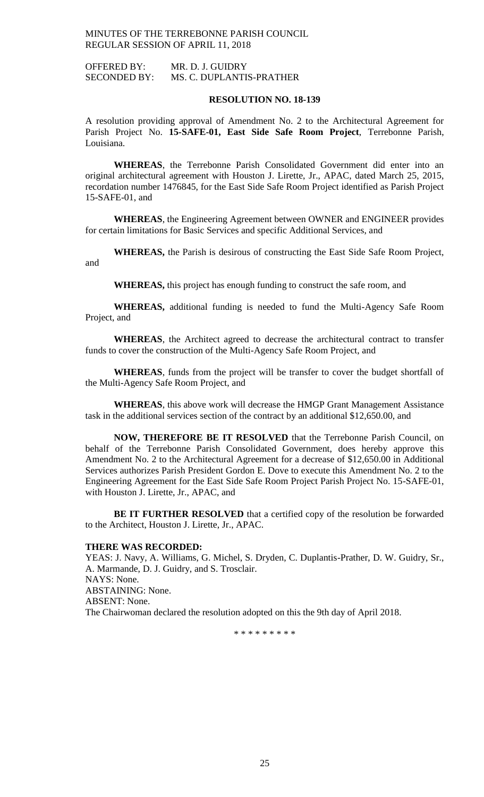OFFERED BY: MR. D. J. GUIDRY SECONDED BY: MS. C. DUPLANTIS-PRATHER

### **RESOLUTION NO. 18-139**

A resolution providing approval of Amendment No. 2 to the Architectural Agreement for Parish Project No. **15-SAFE-01, East Side Safe Room Project**, Terrebonne Parish, Louisiana.

**WHEREAS**, the Terrebonne Parish Consolidated Government did enter into an original architectural agreement with Houston J. Lirette, Jr., APAC, dated March 25, 2015, recordation number 1476845, for the East Side Safe Room Project identified as Parish Project 15-SAFE-01, and

**WHEREAS**, the Engineering Agreement between OWNER and ENGINEER provides for certain limitations for Basic Services and specific Additional Services, and

**WHEREAS,** the Parish is desirous of constructing the East Side Safe Room Project, and

**WHEREAS,** this project has enough funding to construct the safe room, and

**WHEREAS,** additional funding is needed to fund the Multi-Agency Safe Room Project, and

**WHEREAS**, the Architect agreed to decrease the architectural contract to transfer funds to cover the construction of the Multi-Agency Safe Room Project, and

**WHEREAS**, funds from the project will be transfer to cover the budget shortfall of the Multi-Agency Safe Room Project, and

**WHEREAS**, this above work will decrease the HMGP Grant Management Assistance task in the additional services section of the contract by an additional \$12,650.00, and

**NOW, THEREFORE BE IT RESOLVED** that the Terrebonne Parish Council, on behalf of the Terrebonne Parish Consolidated Government, does hereby approve this Amendment No. 2 to the Architectural Agreement for a decrease of \$12,650.00 in Additional Services authorizes Parish President Gordon E. Dove to execute this Amendment No. 2 to the Engineering Agreement for the East Side Safe Room Project Parish Project No. 15-SAFE-01, with Houston J. Lirette, Jr., APAC, and

**BE IT FURTHER RESOLVED** that a certified copy of the resolution be forwarded to the Architect, Houston J. Lirette, Jr., APAC.

#### **THERE WAS RECORDED:**

YEAS: J. Navy, A. Williams, G. Michel, S. Dryden, C. Duplantis-Prather, D. W. Guidry, Sr., A. Marmande, D. J. Guidry, and S. Trosclair. NAYS: None. ABSTAINING: None. ABSENT: None. The Chairwoman declared the resolution adopted on this the 9th day of April 2018.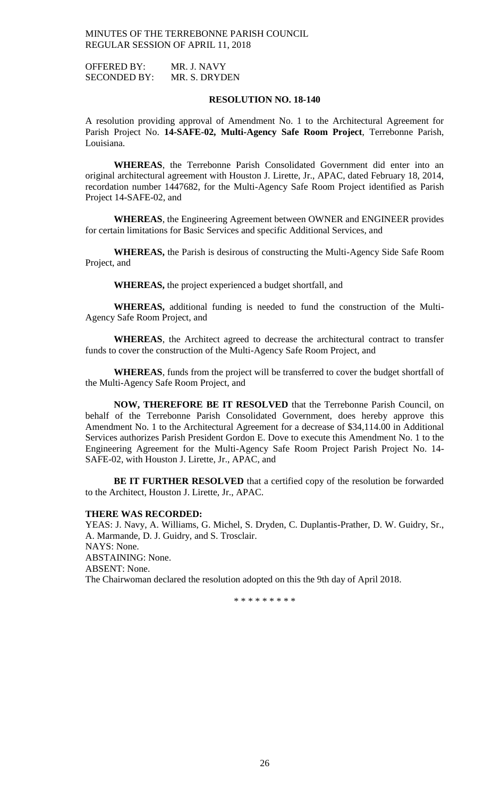OFFERED BY: MR. J. NAVY SECONDED BY: MR. S. DRYDEN

## **RESOLUTION NO. 18-140**

A resolution providing approval of Amendment No. 1 to the Architectural Agreement for Parish Project No. **14-SAFE-02, Multi-Agency Safe Room Project**, Terrebonne Parish, Louisiana.

**WHEREAS**, the Terrebonne Parish Consolidated Government did enter into an original architectural agreement with Houston J. Lirette, Jr., APAC, dated February 18, 2014, recordation number 1447682, for the Multi-Agency Safe Room Project identified as Parish Project 14-SAFE-02, and

**WHEREAS**, the Engineering Agreement between OWNER and ENGINEER provides for certain limitations for Basic Services and specific Additional Services, and

**WHEREAS,** the Parish is desirous of constructing the Multi-Agency Side Safe Room Project, and

**WHEREAS,** the project experienced a budget shortfall, and

**WHEREAS,** additional funding is needed to fund the construction of the Multi-Agency Safe Room Project, and

**WHEREAS**, the Architect agreed to decrease the architectural contract to transfer funds to cover the construction of the Multi-Agency Safe Room Project, and

**WHEREAS**, funds from the project will be transferred to cover the budget shortfall of the Multi-Agency Safe Room Project, and

**NOW, THEREFORE BE IT RESOLVED** that the Terrebonne Parish Council, on behalf of the Terrebonne Parish Consolidated Government, does hereby approve this Amendment No. 1 to the Architectural Agreement for a decrease of \$34,114.00 in Additional Services authorizes Parish President Gordon E. Dove to execute this Amendment No. 1 to the Engineering Agreement for the Multi-Agency Safe Room Project Parish Project No. 14- SAFE-02, with Houston J. Lirette, Jr., APAC, and

**BE IT FURTHER RESOLVED** that a certified copy of the resolution be forwarded to the Architect, Houston J. Lirette, Jr., APAC.

### **THERE WAS RECORDED:**

YEAS: J. Navy, A. Williams, G. Michel, S. Dryden, C. Duplantis-Prather, D. W. Guidry, Sr., A. Marmande, D. J. Guidry, and S. Trosclair. NAYS: None. ABSTAINING: None. ABSENT: None. The Chairwoman declared the resolution adopted on this the 9th day of April 2018.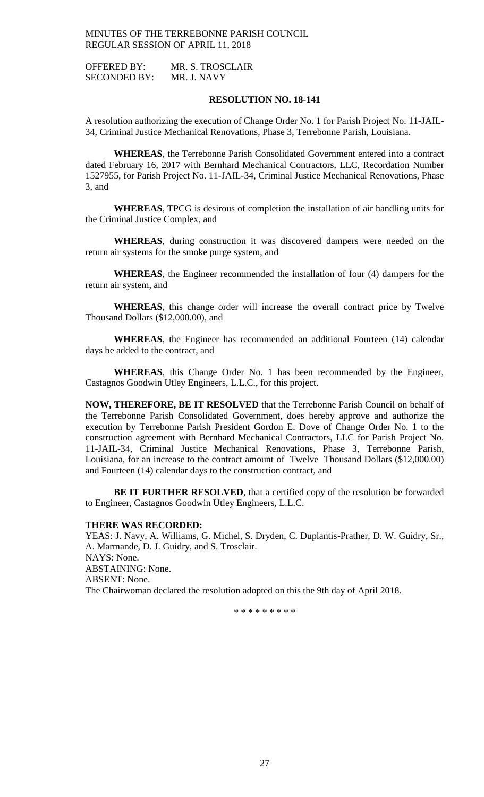OFFERED BY: MR. S. TROSCLAIR SECONDED BY: MR. J. NAVY

## **RESOLUTION NO. 18-141**

A resolution authorizing the execution of Change Order No. 1 for Parish Project No. 11-JAIL-34, Criminal Justice Mechanical Renovations, Phase 3, Terrebonne Parish, Louisiana.

**WHEREAS**, the Terrebonne Parish Consolidated Government entered into a contract dated February 16, 2017 with Bernhard Mechanical Contractors, LLC, Recordation Number 1527955, for Parish Project No. 11-JAIL-34, Criminal Justice Mechanical Renovations, Phase 3, and

**WHEREAS**, TPCG is desirous of completion the installation of air handling units for the Criminal Justice Complex, and

**WHEREAS**, during construction it was discovered dampers were needed on the return air systems for the smoke purge system, and

**WHEREAS**, the Engineer recommended the installation of four (4) dampers for the return air system, and

**WHEREAS**, this change order will increase the overall contract price by Twelve Thousand Dollars (\$12,000.00), and

**WHEREAS**, the Engineer has recommended an additional Fourteen (14) calendar days be added to the contract, and

**WHEREAS**, this Change Order No. 1 has been recommended by the Engineer, Castagnos Goodwin Utley Engineers, L.L.C., for this project.

**NOW, THEREFORE, BE IT RESOLVED** that the Terrebonne Parish Council on behalf of the Terrebonne Parish Consolidated Government, does hereby approve and authorize the execution by Terrebonne Parish President Gordon E. Dove of Change Order No. 1 to the construction agreement with Bernhard Mechanical Contractors, LLC for Parish Project No. 11-JAIL-34, Criminal Justice Mechanical Renovations, Phase 3, Terrebonne Parish, Louisiana, for an increase to the contract amount of Twelve Thousand Dollars (\$12,000.00) and Fourteen (14) calendar days to the construction contract, and

**BE IT FURTHER RESOLVED**, that a certified copy of the resolution be forwarded to Engineer, Castagnos Goodwin Utley Engineers, L.L.C.

#### **THERE WAS RECORDED:**

YEAS: J. Navy, A. Williams, G. Michel, S. Dryden, C. Duplantis-Prather, D. W. Guidry, Sr., A. Marmande, D. J. Guidry, and S. Trosclair. NAYS: None. ABSTAINING: None. ABSENT: None. The Chairwoman declared the resolution adopted on this the 9th day of April 2018.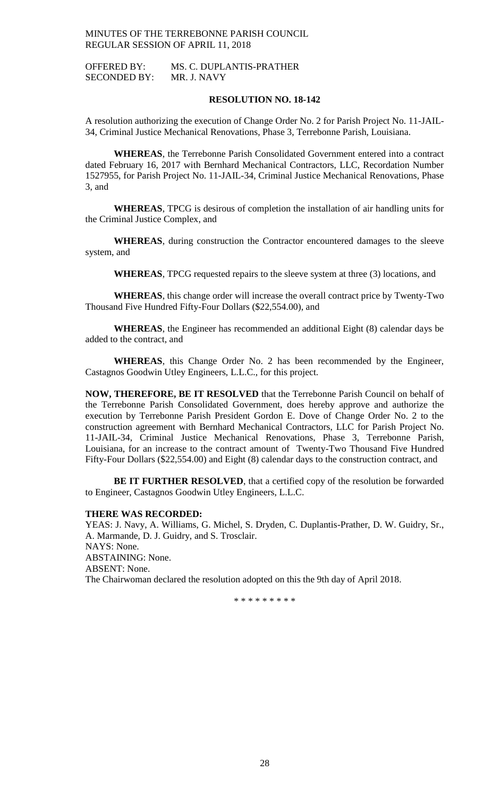OFFERED BY: MS. C. DUPLANTIS-PRATHER SECONDED BY: MR. J. NAVY

### **RESOLUTION NO. 18-142**

A resolution authorizing the execution of Change Order No. 2 for Parish Project No. 11-JAIL-34, Criminal Justice Mechanical Renovations, Phase 3, Terrebonne Parish, Louisiana.

**WHEREAS**, the Terrebonne Parish Consolidated Government entered into a contract dated February 16, 2017 with Bernhard Mechanical Contractors, LLC, Recordation Number 1527955, for Parish Project No. 11-JAIL-34, Criminal Justice Mechanical Renovations, Phase 3, and

**WHEREAS**, TPCG is desirous of completion the installation of air handling units for the Criminal Justice Complex, and

**WHEREAS**, during construction the Contractor encountered damages to the sleeve system, and

**WHEREAS**, TPCG requested repairs to the sleeve system at three (3) locations, and

**WHEREAS**, this change order will increase the overall contract price by Twenty-Two Thousand Five Hundred Fifty-Four Dollars (\$22,554.00), and

**WHEREAS**, the Engineer has recommended an additional Eight (8) calendar days be added to the contract, and

**WHEREAS**, this Change Order No. 2 has been recommended by the Engineer, Castagnos Goodwin Utley Engineers, L.L.C., for this project.

**NOW, THEREFORE, BE IT RESOLVED** that the Terrebonne Parish Council on behalf of the Terrebonne Parish Consolidated Government, does hereby approve and authorize the execution by Terrebonne Parish President Gordon E. Dove of Change Order No. 2 to the construction agreement with Bernhard Mechanical Contractors, LLC for Parish Project No. 11-JAIL-34, Criminal Justice Mechanical Renovations, Phase 3, Terrebonne Parish, Louisiana, for an increase to the contract amount of Twenty-Two Thousand Five Hundred Fifty-Four Dollars (\$22,554.00) and Eight (8) calendar days to the construction contract, and

**BE IT FURTHER RESOLVED**, that a certified copy of the resolution be forwarded to Engineer, Castagnos Goodwin Utley Engineers, L.L.C.

### **THERE WAS RECORDED:**

YEAS: J. Navy, A. Williams, G. Michel, S. Dryden, C. Duplantis-Prather, D. W. Guidry, Sr., A. Marmande, D. J. Guidry, and S. Trosclair. NAYS: None. ABSTAINING: None. ABSENT: None. The Chairwoman declared the resolution adopted on this the 9th day of April 2018.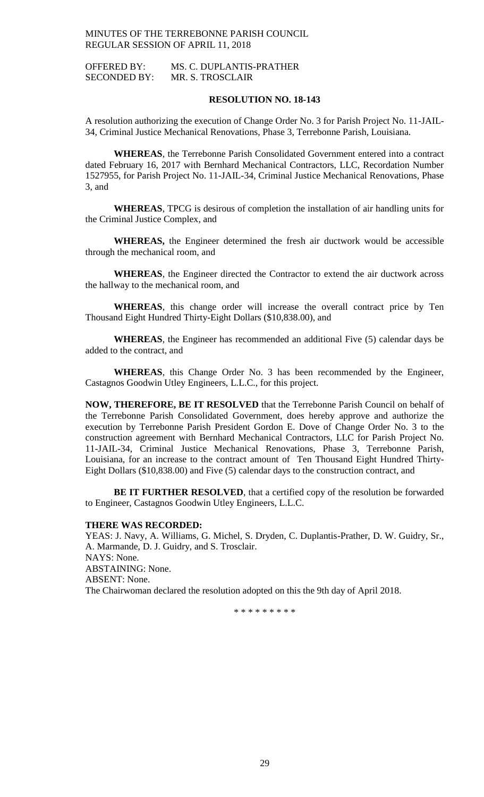OFFERED BY: MS. C. DUPLANTIS-PRATHER SECONDED BY: MR. S. TROSCLAIR

### **RESOLUTION NO. 18-143**

A resolution authorizing the execution of Change Order No. 3 for Parish Project No. 11-JAIL-34, Criminal Justice Mechanical Renovations, Phase 3, Terrebonne Parish, Louisiana.

**WHEREAS**, the Terrebonne Parish Consolidated Government entered into a contract dated February 16, 2017 with Bernhard Mechanical Contractors, LLC, Recordation Number 1527955, for Parish Project No. 11-JAIL-34, Criminal Justice Mechanical Renovations, Phase 3, and

**WHEREAS**, TPCG is desirous of completion the installation of air handling units for the Criminal Justice Complex, and

**WHEREAS,** the Engineer determined the fresh air ductwork would be accessible through the mechanical room, and

**WHEREAS**, the Engineer directed the Contractor to extend the air ductwork across the hallway to the mechanical room, and

**WHEREAS**, this change order will increase the overall contract price by Ten Thousand Eight Hundred Thirty-Eight Dollars (\$10,838.00), and

**WHEREAS**, the Engineer has recommended an additional Five (5) calendar days be added to the contract, and

**WHEREAS**, this Change Order No. 3 has been recommended by the Engineer, Castagnos Goodwin Utley Engineers, L.L.C., for this project.

**NOW, THEREFORE, BE IT RESOLVED** that the Terrebonne Parish Council on behalf of the Terrebonne Parish Consolidated Government, does hereby approve and authorize the execution by Terrebonne Parish President Gordon E. Dove of Change Order No. 3 to the construction agreement with Bernhard Mechanical Contractors, LLC for Parish Project No. 11-JAIL-34, Criminal Justice Mechanical Renovations, Phase 3, Terrebonne Parish, Louisiana, for an increase to the contract amount of Ten Thousand Eight Hundred Thirty-Eight Dollars (\$10,838.00) and Five (5) calendar days to the construction contract, and

**BE IT FURTHER RESOLVED**, that a certified copy of the resolution be forwarded to Engineer, Castagnos Goodwin Utley Engineers, L.L.C.

#### **THERE WAS RECORDED:**

YEAS: J. Navy, A. Williams, G. Michel, S. Dryden, C. Duplantis-Prather, D. W. Guidry, Sr., A. Marmande, D. J. Guidry, and S. Trosclair. NAYS: None. ABSTAINING: None. ABSENT: None. The Chairwoman declared the resolution adopted on this the 9th day of April 2018.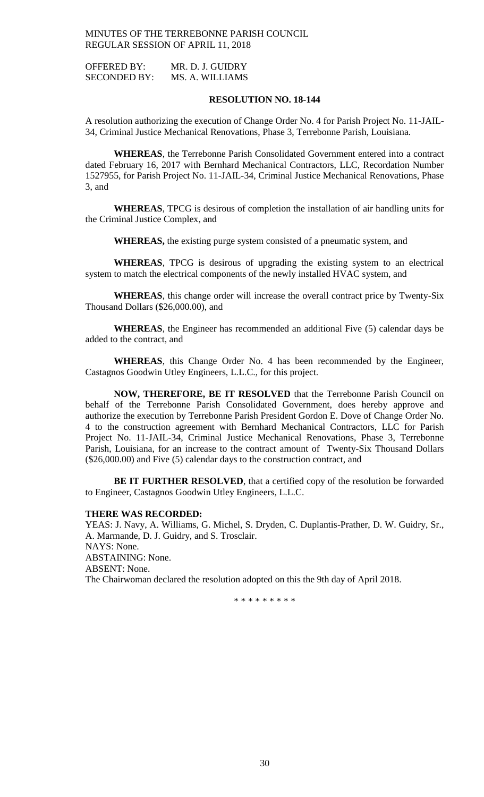OFFERED BY: MR. D. J. GUIDRY SECONDED BY: MS. A. WILLIAMS

### **RESOLUTION NO. 18-144**

A resolution authorizing the execution of Change Order No. 4 for Parish Project No. 11-JAIL-34, Criminal Justice Mechanical Renovations, Phase 3, Terrebonne Parish, Louisiana.

**WHEREAS**, the Terrebonne Parish Consolidated Government entered into a contract dated February 16, 2017 with Bernhard Mechanical Contractors, LLC, Recordation Number 1527955, for Parish Project No. 11-JAIL-34, Criminal Justice Mechanical Renovations, Phase 3, and

**WHEREAS**, TPCG is desirous of completion the installation of air handling units for the Criminal Justice Complex, and

**WHEREAS,** the existing purge system consisted of a pneumatic system, and

**WHEREAS**, TPCG is desirous of upgrading the existing system to an electrical system to match the electrical components of the newly installed HVAC system, and

**WHEREAS**, this change order will increase the overall contract price by Twenty-Six Thousand Dollars (\$26,000.00), and

**WHEREAS**, the Engineer has recommended an additional Five (5) calendar days be added to the contract, and

**WHEREAS**, this Change Order No. 4 has been recommended by the Engineer, Castagnos Goodwin Utley Engineers, L.L.C., for this project.

**NOW, THEREFORE, BE IT RESOLVED** that the Terrebonne Parish Council on behalf of the Terrebonne Parish Consolidated Government, does hereby approve and authorize the execution by Terrebonne Parish President Gordon E. Dove of Change Order No. 4 to the construction agreement with Bernhard Mechanical Contractors, LLC for Parish Project No. 11-JAIL-34, Criminal Justice Mechanical Renovations, Phase 3, Terrebonne Parish, Louisiana, for an increase to the contract amount of Twenty-Six Thousand Dollars (\$26,000.00) and Five (5) calendar days to the construction contract, and

**BE IT FURTHER RESOLVED**, that a certified copy of the resolution be forwarded to Engineer, Castagnos Goodwin Utley Engineers, L.L.C.

### **THERE WAS RECORDED:**

YEAS: J. Navy, A. Williams, G. Michel, S. Dryden, C. Duplantis-Prather, D. W. Guidry, Sr., A. Marmande, D. J. Guidry, and S. Trosclair. NAYS: None. ABSTAINING: None. ABSENT: None. The Chairwoman declared the resolution adopted on this the 9th day of April 2018.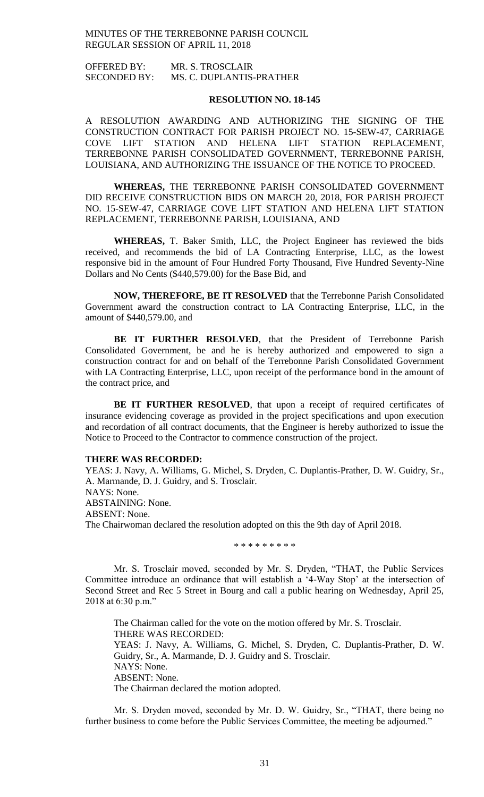OFFERED BY: MR. S. TROSCLAIR SECONDED BY: MS. C. DUPLANTIS-PRATHER

### **RESOLUTION NO. 18-145**

A RESOLUTION AWARDING AND AUTHORIZING THE SIGNING OF THE CONSTRUCTION CONTRACT FOR PARISH PROJECT NO. 15-SEW-47, CARRIAGE COVE LIFT STATION AND HELENA LIFT STATION REPLACEMENT, TERREBONNE PARISH CONSOLIDATED GOVERNMENT, TERREBONNE PARISH, LOUISIANA, AND AUTHORIZING THE ISSUANCE OF THE NOTICE TO PROCEED.

**WHEREAS,** THE TERREBONNE PARISH CONSOLIDATED GOVERNMENT DID RECEIVE CONSTRUCTION BIDS ON MARCH 20, 2018, FOR PARISH PROJECT NO. 15-SEW-47, CARRIAGE COVE LIFT STATION AND HELENA LIFT STATION REPLACEMENT, TERREBONNE PARISH, LOUISIANA, AND

**WHEREAS,** T. Baker Smith, LLC, the Project Engineer has reviewed the bids received, and recommends the bid of LA Contracting Enterprise, LLC, as the lowest responsive bid in the amount of Four Hundred Forty Thousand, Five Hundred Seventy-Nine Dollars and No Cents (\$440,579.00) for the Base Bid, and

**NOW, THEREFORE, BE IT RESOLVED** that the Terrebonne Parish Consolidated Government award the construction contract to LA Contracting Enterprise, LLC, in the amount of \$440,579.00, and

**BE IT FURTHER RESOLVED**, that the President of Terrebonne Parish Consolidated Government, be and he is hereby authorized and empowered to sign a construction contract for and on behalf of the Terrebonne Parish Consolidated Government with LA Contracting Enterprise, LLC, upon receipt of the performance bond in the amount of the contract price, and

**BE IT FURTHER RESOLVED**, that upon a receipt of required certificates of insurance evidencing coverage as provided in the project specifications and upon execution and recordation of all contract documents, that the Engineer is hereby authorized to issue the Notice to Proceed to the Contractor to commence construction of the project.

#### **THERE WAS RECORDED:**

YEAS: J. Navy, A. Williams, G. Michel, S. Dryden, C. Duplantis-Prather, D. W. Guidry, Sr., A. Marmande, D. J. Guidry, and S. Trosclair. NAYS: None. ABSTAINING: None. ABSENT: None. The Chairwoman declared the resolution adopted on this the 9th day of April 2018.

\* \* \* \* \* \* \* \* \*

Mr. S. Trosclair moved, seconded by Mr. S. Dryden, "THAT, the Public Services Committee introduce an ordinance that will establish a '4-Way Stop' at the intersection of Second Street and Rec 5 Street in Bourg and call a public hearing on Wednesday, April 25, 2018 at 6:30 p.m."

The Chairman called for the vote on the motion offered by Mr. S. Trosclair. THERE WAS RECORDED: YEAS: J. Navy, A. Williams, G. Michel, S. Dryden, C. Duplantis-Prather, D. W. Guidry, Sr., A. Marmande, D. J. Guidry and S. Trosclair. NAYS: None. ABSENT: None. The Chairman declared the motion adopted.

Mr. S. Dryden moved, seconded by Mr. D. W. Guidry, Sr., "THAT, there being no further business to come before the Public Services Committee, the meeting be adjourned."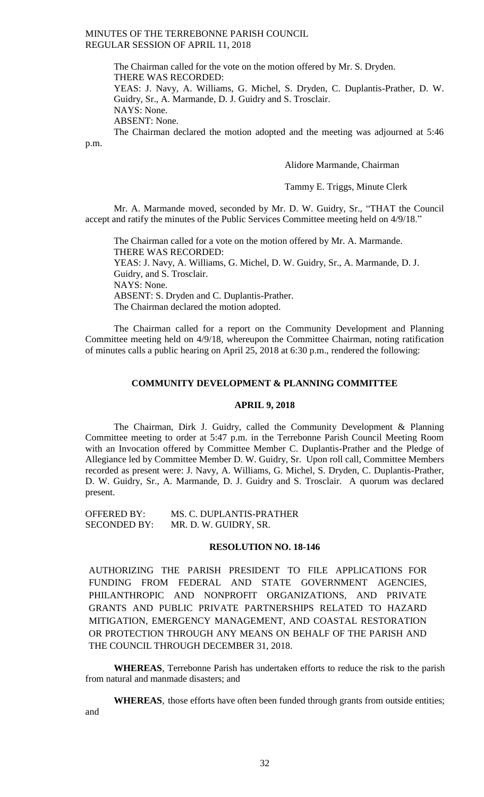> The Chairman called for the vote on the motion offered by Mr. S. Dryden. THERE WAS RECORDED:

YEAS: J. Navy, A. Williams, G. Michel, S. Dryden, C. Duplantis-Prather, D. W. Guidry, Sr., A. Marmande, D. J. Guidry and S. Trosclair. NAYS: None.

ABSENT: None.

p.m.

The Chairman declared the motion adopted and the meeting was adjourned at 5:46

Alidore Marmande, Chairman

Tammy E. Triggs, Minute Clerk

Mr. A. Marmande moved, seconded by Mr. D. W. Guidry, Sr., "THAT the Council accept and ratify the minutes of the Public Services Committee meeting held on 4/9/18."

The Chairman called for a vote on the motion offered by Mr. A. Marmande. THERE WAS RECORDED: YEAS: J. Navy, A. Williams, G. Michel, D. W. Guidry, Sr., A. Marmande, D. J. Guidry, and S. Trosclair. NAYS: None. ABSENT: S. Dryden and C. Duplantis-Prather. The Chairman declared the motion adopted.

The Chairman called for a report on the Community Development and Planning Committee meeting held on 4/9/18, whereupon the Committee Chairman, noting ratification of minutes calls a public hearing on April 25, 2018 at 6:30 p.m., rendered the following:

## **COMMUNITY DEVELOPMENT & PLANNING COMMITTEE**

## **APRIL 9, 2018**

The Chairman, Dirk J. Guidry, called the Community Development & Planning Committee meeting to order at 5:47 p.m. in the Terrebonne Parish Council Meeting Room with an Invocation offered by Committee Member C. Duplantis-Prather and the Pledge of Allegiance led by Committee Member D. W. Guidry, Sr. Upon roll call, Committee Members recorded as present were: J. Navy, A. Williams, G. Michel, S. Dryden, C. Duplantis-Prather, D. W. Guidry, Sr., A. Marmande, D. J. Guidry and S. Trosclair. A quorum was declared present.

OFFERED BY: MS. C. DUPLANTIS-PRATHER<br>SECONDED BY: MR. D. W. GUIDRY. SR. MR. D. W. GUIDRY, SR.

### **RESOLUTION NO. 18-146**

AUTHORIZING THE PARISH PRESIDENT TO FILE APPLICATIONS FOR FUNDING FROM FEDERAL AND STATE GOVERNMENT AGENCIES, PHILANTHROPIC AND NONPROFIT ORGANIZATIONS, AND PRIVATE GRANTS AND PUBLIC PRIVATE PARTNERSHIPS RELATED TO HAZARD MITIGATION, EMERGENCY MANAGEMENT, AND COASTAL RESTORATION OR PROTECTION THROUGH ANY MEANS ON BEHALF OF THE PARISH AND THE COUNCIL THROUGH DECEMBER 31, 2018.

**WHEREAS**, Terrebonne Parish has undertaken efforts to reduce the risk to the parish from natural and manmade disasters; and

**WHEREAS**, those efforts have often been funded through grants from outside entities; and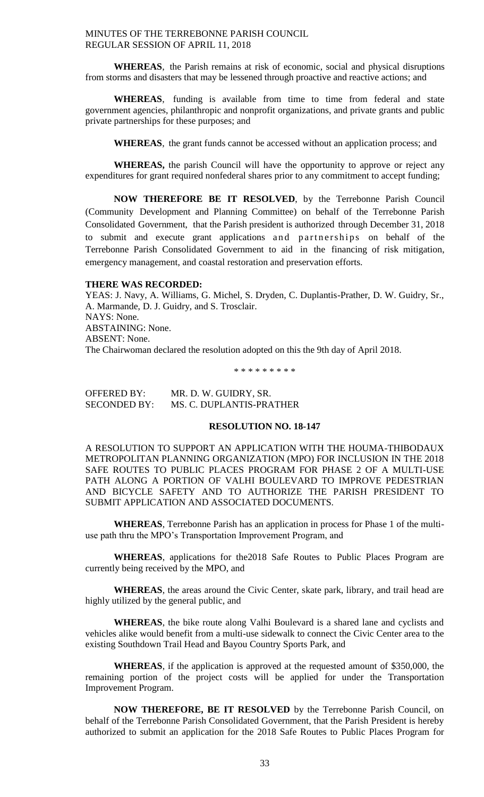**WHEREAS**, the Parish remains at risk of economic, social and physical disruptions from storms and disasters that may be lessened through proactive and reactive actions; and

**WHEREAS**, funding is available from time to time from federal and state government agencies, philanthropic and nonprofit organizations, and private grants and public private partnerships for these purposes; and

**WHEREAS**, the grant funds cannot be accessed without an application process; and

**WHEREAS,** the parish Council will have the opportunity to approve or reject any expenditures for grant required nonfederal shares prior to any commitment to accept funding;

**NOW THEREFORE BE IT RESOLVED**, by the Terrebonne Parish Council (Community Development and Planning Committee) on behalf of the Terrebonne Parish Consolidated Government, that the Parish president is authorized through December 31, 2018 to submit and execute grant applications and partnerships on behalf of the Terrebonne Parish Consolidated Government to aid in the financing of risk mitigation, emergency management, and coastal restoration and preservation efforts.

### **THERE WAS RECORDED:**

YEAS: J. Navy, A. Williams, G. Michel, S. Dryden, C. Duplantis-Prather, D. W. Guidry, Sr., A. Marmande, D. J. Guidry, and S. Trosclair. NAYS: None. ABSTAINING: None. ABSENT: None. The Chairwoman declared the resolution adopted on this the 9th day of April 2018.

\* \* \* \* \* \* \* \* \*

OFFERED BY: MR. D. W. GUIDRY, SR. SECONDED BY: MS. C. DUPLANTIS-PRATHER

### **RESOLUTION NO. 18-147**

A RESOLUTION TO SUPPORT AN APPLICATION WITH THE HOUMA-THIBODAUX METROPOLITAN PLANNING ORGANIZATION (MPO) FOR INCLUSION IN THE 2018 SAFE ROUTES TO PUBLIC PLACES PROGRAM FOR PHASE 2 OF A MULTI-USE PATH ALONG A PORTION OF VALHI BOULEVARD TO IMPROVE PEDESTRIAN AND BICYCLE SAFETY AND TO AUTHORIZE THE PARISH PRESIDENT TO SUBMIT APPLICATION AND ASSOCIATED DOCUMENTS.

**WHEREAS**, Terrebonne Parish has an application in process for Phase 1 of the multiuse path thru the MPO's Transportation Improvement Program, and

**WHEREAS**, applications for the2018 Safe Routes to Public Places Program are currently being received by the MPO, and

**WHEREAS**, the areas around the Civic Center, skate park, library, and trail head are highly utilized by the general public, and

**WHEREAS**, the bike route along Valhi Boulevard is a shared lane and cyclists and vehicles alike would benefit from a multi-use sidewalk to connect the Civic Center area to the existing Southdown Trail Head and Bayou Country Sports Park, and

**WHEREAS**, if the application is approved at the requested amount of \$350,000, the remaining portion of the project costs will be applied for under the Transportation Improvement Program.

**NOW THEREFORE, BE IT RESOLVED** by the Terrebonne Parish Council, on behalf of the Terrebonne Parish Consolidated Government, that the Parish President is hereby authorized to submit an application for the 2018 Safe Routes to Public Places Program for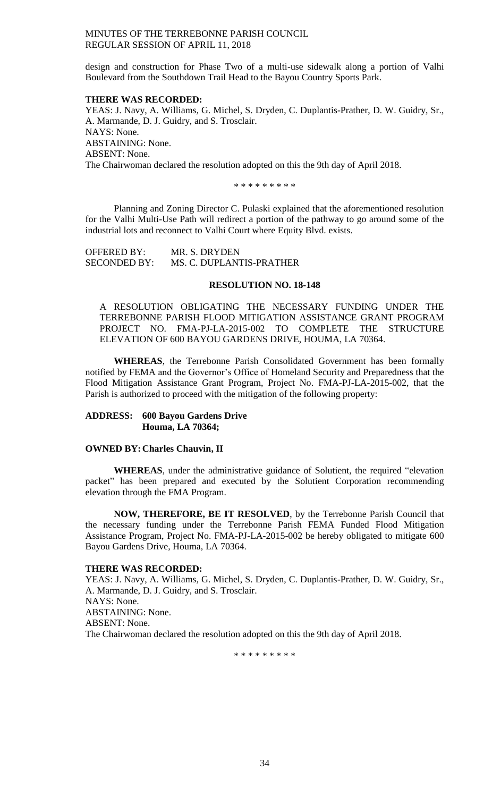design and construction for Phase Two of a multi-use sidewalk along a portion of Valhi Boulevard from the Southdown Trail Head to the Bayou Country Sports Park.

### **THERE WAS RECORDED:**

YEAS: J. Navy, A. Williams, G. Michel, S. Dryden, C. Duplantis-Prather, D. W. Guidry, Sr., A. Marmande, D. J. Guidry, and S. Trosclair. NAYS: None. ABSTAINING: None. ABSENT: None. The Chairwoman declared the resolution adopted on this the 9th day of April 2018.

\* \* \* \* \* \* \* \* \*

Planning and Zoning Director C. Pulaski explained that the aforementioned resolution for the Valhi Multi-Use Path will redirect a portion of the pathway to go around some of the industrial lots and reconnect to Valhi Court where Equity Blvd. exists.

| <b>OFFERED BY:</b>  | MR. S. DRYDEN            |
|---------------------|--------------------------|
| <b>SECONDED BY:</b> | MS. C. DUPLANTIS-PRATHER |

## **RESOLUTION NO. 18-148**

A RESOLUTION OBLIGATING THE NECESSARY FUNDING UNDER THE TERREBONNE PARISH FLOOD MITIGATION ASSISTANCE GRANT PROGRAM PROJECT NO. FMA-PJ-LA-2015-002 TO COMPLETE THE STRUCTURE ELEVATION OF 600 BAYOU GARDENS DRIVE, HOUMA, LA 70364.

**WHEREAS**, the Terrebonne Parish Consolidated Government has been formally notified by FEMA and the Governor's Office of Homeland Security and Preparedness that the Flood Mitigation Assistance Grant Program, Project No. FMA-PJ-LA-2015-002, that the Parish is authorized to proceed with the mitigation of the following property:

### **ADDRESS: 600 Bayou Gardens Drive Houma, LA 70364;**

#### **OWNED BY:Charles Chauvin, II**

**WHEREAS**, under the administrative guidance of Solutient, the required "elevation packet" has been prepared and executed by the Solutient Corporation recommending elevation through the FMA Program.

**NOW, THEREFORE, BE IT RESOLVED**, by the Terrebonne Parish Council that the necessary funding under the Terrebonne Parish FEMA Funded Flood Mitigation Assistance Program, Project No. FMA-PJ-LA-2015-002 be hereby obligated to mitigate 600 Bayou Gardens Drive, Houma, LA 70364.

### **THERE WAS RECORDED:**

YEAS: J. Navy, A. Williams, G. Michel, S. Dryden, C. Duplantis-Prather, D. W. Guidry, Sr., A. Marmande, D. J. Guidry, and S. Trosclair. NAYS: None. ABSTAINING: None. ABSENT: None. The Chairwoman declared the resolution adopted on this the 9th day of April 2018.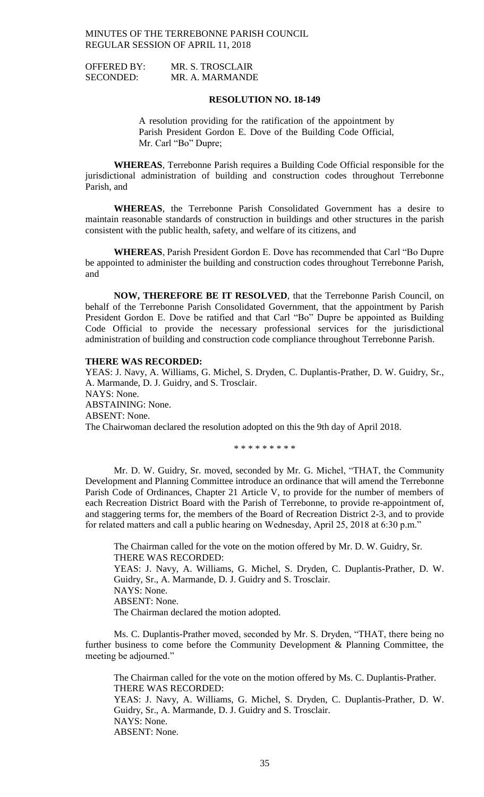| <b>OFFERED BY:</b> | MR. S. TROSCLAIR |
|--------------------|------------------|
| <b>SECONDED:</b>   | MR. A. MARMANDE  |

### **RESOLUTION NO. 18-149**

A resolution providing for the ratification of the appointment by Parish President Gordon E. Dove of the Building Code Official, Mr. Carl "Bo" Dupre;

**WHEREAS**, Terrebonne Parish requires a Building Code Official responsible for the jurisdictional administration of building and construction codes throughout Terrebonne Parish, and

**WHEREAS**, the Terrebonne Parish Consolidated Government has a desire to maintain reasonable standards of construction in buildings and other structures in the parish consistent with the public health, safety, and welfare of its citizens, and

**WHEREAS**, Parish President Gordon E. Dove has recommended that Carl "Bo Dupre be appointed to administer the building and construction codes throughout Terrebonne Parish, and

**NOW, THEREFORE BE IT RESOLVED**, that the Terrebonne Parish Council, on behalf of the Terrebonne Parish Consolidated Government, that the appointment by Parish President Gordon E. Dove be ratified and that Carl "Bo" Dupre be appointed as Building Code Official to provide the necessary professional services for the jurisdictional administration of building and construction code compliance throughout Terrebonne Parish.

#### **THERE WAS RECORDED:**

YEAS: J. Navy, A. Williams, G. Michel, S. Dryden, C. Duplantis-Prather, D. W. Guidry, Sr., A. Marmande, D. J. Guidry, and S. Trosclair. NAYS: None. ABSTAINING: None. ABSENT: None. The Chairwoman declared the resolution adopted on this the 9th day of April 2018.

\* \* \* \* \* \* \* \* \*

Mr. D. W. Guidry, Sr. moved, seconded by Mr. G. Michel, "THAT, the Community Development and Planning Committee introduce an ordinance that will amend the Terrebonne Parish Code of Ordinances, Chapter 21 Article V, to provide for the number of members of each Recreation District Board with the Parish of Terrebonne, to provide re-appointment of, and staggering terms for, the members of the Board of Recreation District 2-3, and to provide for related matters and call a public hearing on Wednesday, April 25, 2018 at 6:30 p.m."

The Chairman called for the vote on the motion offered by Mr. D. W. Guidry, Sr. THERE WAS RECORDED: YEAS: J. Navy, A. Williams, G. Michel, S. Dryden, C. Duplantis-Prather, D. W. Guidry, Sr., A. Marmande, D. J. Guidry and S. Trosclair. NAYS: None. ABSENT: None. The Chairman declared the motion adopted.

Ms. C. Duplantis-Prather moved, seconded by Mr. S. Dryden, "THAT, there being no further business to come before the Community Development & Planning Committee, the meeting be adjourned."

The Chairman called for the vote on the motion offered by Ms. C. Duplantis-Prather. THERE WAS RECORDED: YEAS: J. Navy, A. Williams, G. Michel, S. Dryden, C. Duplantis-Prather, D. W. Guidry, Sr., A. Marmande, D. J. Guidry and S. Trosclair. NAYS: None. ABSENT: None.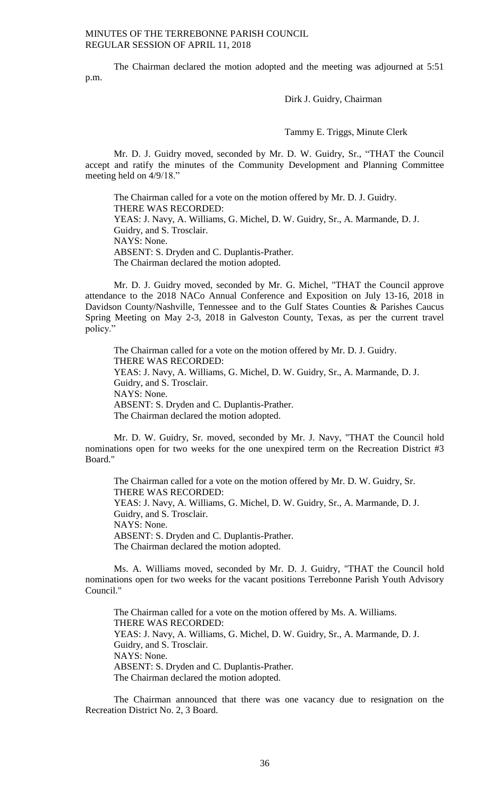The Chairman declared the motion adopted and the meeting was adjourned at 5:51 p.m.

Dirk J. Guidry, Chairman

Tammy E. Triggs, Minute Clerk

Mr. D. J. Guidry moved, seconded by Mr. D. W. Guidry, Sr., "THAT the Council accept and ratify the minutes of the Community Development and Planning Committee meeting held on 4/9/18."

The Chairman called for a vote on the motion offered by Mr. D. J. Guidry. THERE WAS RECORDED: YEAS: J. Navy, A. Williams, G. Michel, D. W. Guidry, Sr., A. Marmande, D. J. Guidry, and S. Trosclair. NAYS: None. ABSENT: S. Dryden and C. Duplantis-Prather. The Chairman declared the motion adopted.

Mr. D. J. Guidry moved, seconded by Mr. G. Michel, "THAT the Council approve attendance to the 2018 NACo Annual Conference and Exposition on July 13-16, 2018 in Davidson County/Nashville, Tennessee and to the Gulf States Counties & Parishes Caucus Spring Meeting on May 2-3, 2018 in Galveston County, Texas, as per the current travel policy.'

The Chairman called for a vote on the motion offered by Mr. D. J. Guidry. THERE WAS RECORDED: YEAS: J. Navy, A. Williams, G. Michel, D. W. Guidry, Sr., A. Marmande, D. J. Guidry, and S. Trosclair. NAYS: None. ABSENT: S. Dryden and C. Duplantis-Prather. The Chairman declared the motion adopted.

Mr. D. W. Guidry, Sr. moved, seconded by Mr. J. Navy, "THAT the Council hold nominations open for two weeks for the one unexpired term on the Recreation District #3 Board."

The Chairman called for a vote on the motion offered by Mr. D. W. Guidry, Sr. THERE WAS RECORDED: YEAS: J. Navy, A. Williams, G. Michel, D. W. Guidry, Sr., A. Marmande, D. J. Guidry, and S. Trosclair. NAYS: None. ABSENT: S. Dryden and C. Duplantis-Prather. The Chairman declared the motion adopted.

Ms. A. Williams moved, seconded by Mr. D. J. Guidry, "THAT the Council hold nominations open for two weeks for the vacant positions Terrebonne Parish Youth Advisory Council."

The Chairman called for a vote on the motion offered by Ms. A. Williams. THERE WAS RECORDED: YEAS: J. Navy, A. Williams, G. Michel, D. W. Guidry, Sr., A. Marmande, D. J. Guidry, and S. Trosclair. NAYS: None. ABSENT: S. Dryden and C. Duplantis-Prather. The Chairman declared the motion adopted.

The Chairman announced that there was one vacancy due to resignation on the Recreation District No. 2, 3 Board.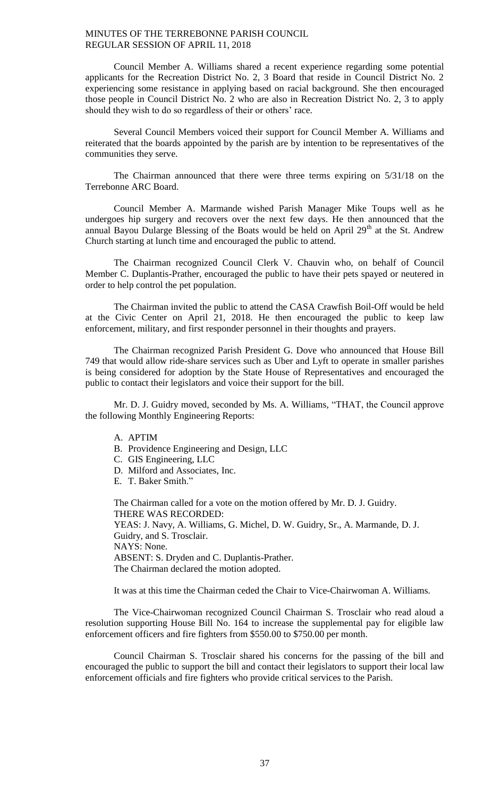Council Member A. Williams shared a recent experience regarding some potential applicants for the Recreation District No. 2, 3 Board that reside in Council District No. 2 experiencing some resistance in applying based on racial background. She then encouraged those people in Council District No. 2 who are also in Recreation District No. 2, 3 to apply should they wish to do so regardless of their or others' race.

Several Council Members voiced their support for Council Member A. Williams and reiterated that the boards appointed by the parish are by intention to be representatives of the communities they serve.

The Chairman announced that there were three terms expiring on 5/31/18 on the Terrebonne ARC Board.

Council Member A. Marmande wished Parish Manager Mike Toups well as he undergoes hip surgery and recovers over the next few days. He then announced that the annual Bayou Dularge Blessing of the Boats would be held on April 29<sup>th</sup> at the St. Andrew Church starting at lunch time and encouraged the public to attend.

The Chairman recognized Council Clerk V. Chauvin who, on behalf of Council Member C. Duplantis-Prather, encouraged the public to have their pets spayed or neutered in order to help control the pet population.

The Chairman invited the public to attend the CASA Crawfish Boil-Off would be held at the Civic Center on April 21, 2018. He then encouraged the public to keep law enforcement, military, and first responder personnel in their thoughts and prayers.

The Chairman recognized Parish President G. Dove who announced that House Bill 749 that would allow ride-share services such as Uber and Lyft to operate in smaller parishes is being considered for adoption by the State House of Representatives and encouraged the public to contact their legislators and voice their support for the bill.

Mr. D. J. Guidry moved, seconded by Ms. A. Williams, "THAT, the Council approve the following Monthly Engineering Reports:

- A. APTIM
- B. Providence Engineering and Design, LLC
- C. GIS Engineering, LLC
- D. Milford and Associates, Inc.
- E. T. Baker Smith."

The Chairman called for a vote on the motion offered by Mr. D. J. Guidry. THERE WAS RECORDED: YEAS: J. Navy, A. Williams, G. Michel, D. W. Guidry, Sr., A. Marmande, D. J. Guidry, and S. Trosclair. NAYS: None. ABSENT: S. Dryden and C. Duplantis-Prather. The Chairman declared the motion adopted.

It was at this time the Chairman ceded the Chair to Vice-Chairwoman A. Williams.

The Vice-Chairwoman recognized Council Chairman S. Trosclair who read aloud a resolution supporting House Bill No. 164 to increase the supplemental pay for eligible law enforcement officers and fire fighters from \$550.00 to \$750.00 per month.

Council Chairman S. Trosclair shared his concerns for the passing of the bill and encouraged the public to support the bill and contact their legislators to support their local law enforcement officials and fire fighters who provide critical services to the Parish.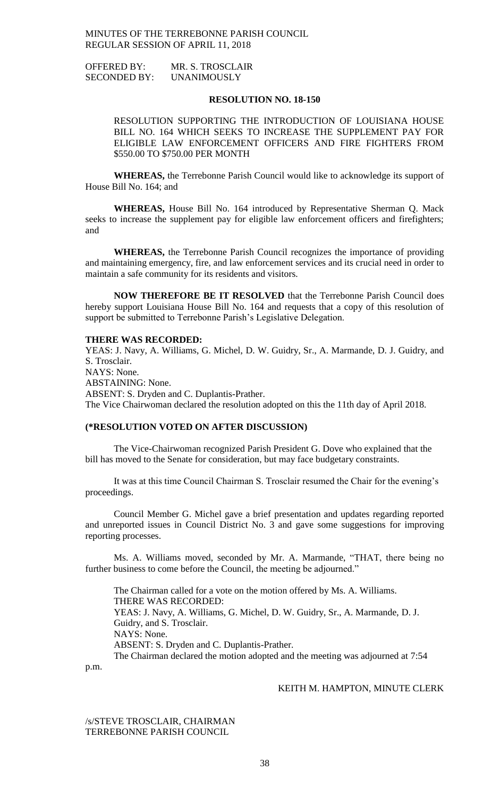OFFERED BY: MR. S. TROSCLAIR SECONDED BY: UNANIMOUSLY

## **RESOLUTION NO. 18-150**

RESOLUTION SUPPORTING THE INTRODUCTION OF LOUISIANA HOUSE BILL NO. 164 WHICH SEEKS TO INCREASE THE SUPPLEMENT PAY FOR ELIGIBLE LAW ENFORCEMENT OFFICERS AND FIRE FIGHTERS FROM \$550.00 TO \$750.00 PER MONTH

**WHEREAS,** the Terrebonne Parish Council would like to acknowledge its support of House Bill No. 164; and

**WHEREAS,** House Bill No. 164 introduced by Representative Sherman Q. Mack seeks to increase the supplement pay for eligible law enforcement officers and firefighters; and

**WHEREAS,** the Terrebonne Parish Council recognizes the importance of providing and maintaining emergency, fire, and law enforcement services and its crucial need in order to maintain a safe community for its residents and visitors.

**NOW THEREFORE BE IT RESOLVED** that the Terrebonne Parish Council does hereby support Louisiana House Bill No. 164 and requests that a copy of this resolution of support be submitted to Terrebonne Parish's Legislative Delegation.

#### **THERE WAS RECORDED:**

YEAS: J. Navy, A. Williams, G. Michel, D. W. Guidry, Sr., A. Marmande, D. J. Guidry, and S. Trosclair. NAYS: None. ABSTAINING: None. ABSENT: S. Dryden and C. Duplantis-Prather. The Vice Chairwoman declared the resolution adopted on this the 11th day of April 2018.

## **(\*RESOLUTION VOTED ON AFTER DISCUSSION)**

The Vice-Chairwoman recognized Parish President G. Dove who explained that the bill has moved to the Senate for consideration, but may face budgetary constraints.

It was at this time Council Chairman S. Trosclair resumed the Chair for the evening's proceedings.

Council Member G. Michel gave a brief presentation and updates regarding reported and unreported issues in Council District No. 3 and gave some suggestions for improving reporting processes.

Ms. A. Williams moved, seconded by Mr. A. Marmande, "THAT, there being no further business to come before the Council, the meeting be adjourned."

The Chairman called for a vote on the motion offered by Ms. A. Williams. THERE WAS RECORDED: YEAS: J. Navy, A. Williams, G. Michel, D. W. Guidry, Sr., A. Marmande, D. J. Guidry, and S. Trosclair. NAYS: None. ABSENT: S. Dryden and C. Duplantis-Prather. The Chairman declared the motion adopted and the meeting was adjourned at 7:54

p.m.

### KEITH M. HAMPTON, MINUTE CLERK

/s/STEVE TROSCLAIR, CHAIRMAN TERREBONNE PARISH COUNCIL